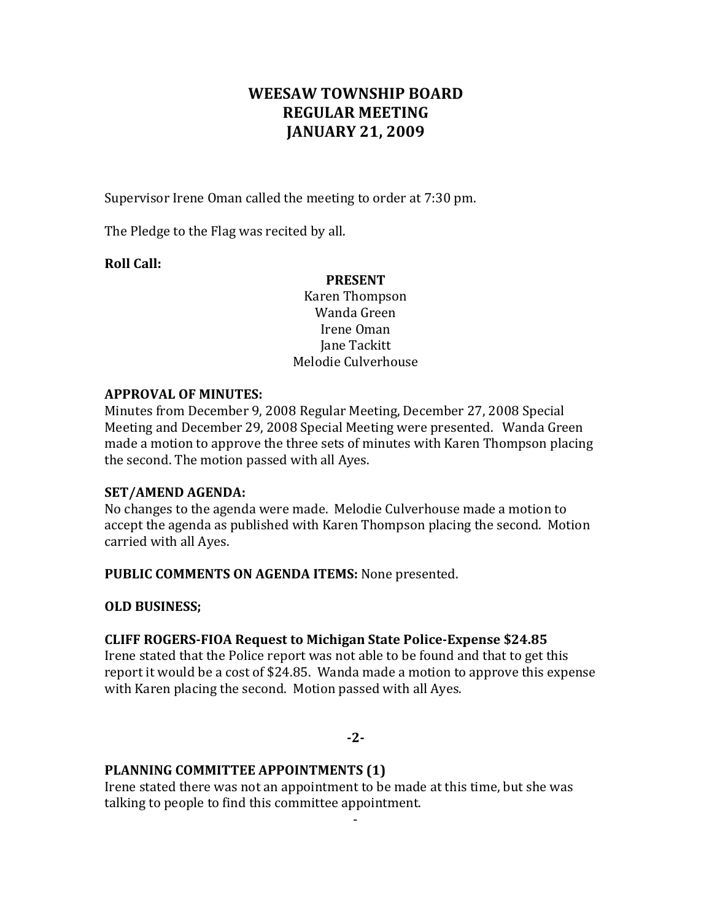## WEESAW TOWNSHIP BOARD **REGULAR MEETING JANUARY 21, 2009**

Supervisor Irene Oman called the meeting to order at 7:30 pm.

The Pledge to the Flag was recited by all.

**Roll Call:**

#### **PRESENT**

Karen Thompson Wanda Green Irene Oman Jane Tackitt Melodie Culverhouse

#### **APPROVAL OF MINUTES:**

Minutes from December 9, 2008 Regular Meeting, December 27, 2008 Special Meeting and December 29, 2008 Special Meeting were presented. Wanda Green made a motion to approve the three sets of minutes with Karen Thompson placing the second. The motion passed with all Ayes.

#### **SET/AMEND AGENDA:**

No changes to the agenda were made. Melodie Culverhouse made a motion to accept the agenda as published with Karen Thompson placing the second. Motion carried with all Ayes.

**PUBLIC COMMENTS ON AGENDA ITEMS:** None presented.

**OLD BUSINESS;**

#### **CLIFF ROGERS-FIOA Request to Michigan State Police-Expense \$24.85**

Irene stated that the Police report was not able to be found and that to get this report it would be a cost of \$24.85. Wanda made a motion to approve this expense with Karen placing the second. Motion passed with all Ayes.

#### **-2-**

#### **PLANNING COMMITTEE APPOINTMENTS (1)**

Irene stated there was not an appointment to be made at this time, but she was talking to people to find this committee appointment.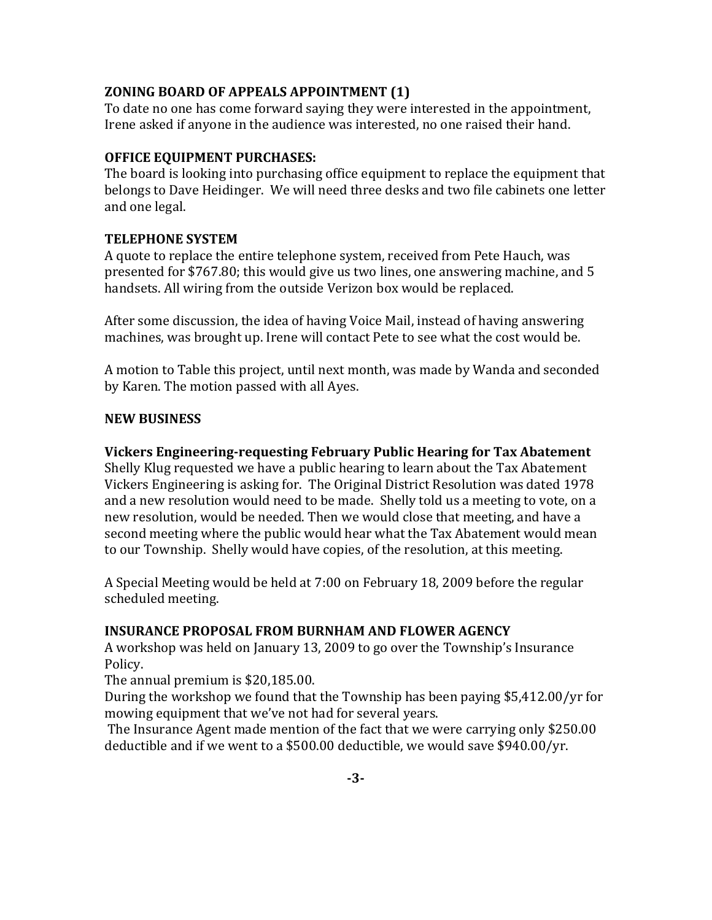#### **ZONING BOARD OF APPEALS APPOINTMENT (1)**

To date no one has come forward saying they were interested in the appointment, Irene asked if anyone in the audience was interested, no one raised their hand.

## **OFFICE EQUIPMENT PURCHASES:**

The board is looking into purchasing office equipment to replace the equipment that belongs to Dave Heidinger. We will need three desks and two file cabinets one letter and one legal.

## **TELEPHONE SYSTEM**

A quote to replace the entire telephone system, received from Pete Hauch, was presented for \$767.80; this would give us two lines, one answering machine, and 5 handsets. All wiring from the outside Verizon box would be replaced.

After some discussion, the idea of having Voice Mail, instead of having answering machines, was brought up. Irene will contact Pete to see what the cost would be.

A motion to Table this project, until next month, was made by Wanda and seconded by Karen. The motion passed with all Ayes.

#### **NEW BUSINESS**

#### **Vickers Engineering-requesting February Public Hearing for Tax Abatement**

Shelly Klug requested we have a public hearing to learn about the Tax Abatement Vickers Engineering is asking for. The Original District Resolution was dated 1978 and a new resolution would need to be made. Shelly told us a meeting to vote, on a new resolution, would be needed. Then we would close that meeting, and have a second meeting where the public would hear what the Tax Abatement would mean to our Township. Shelly would have copies, of the resolution, at this meeting.

A Special Meeting would be held at 7:00 on February 18, 2009 before the regular scheduled meeting.

#### **INSURANCE PROPOSAL FROM BURNHAM AND FLOWER AGENCY**

A workshop was held on January 13, 2009 to go over the Township's Insurance Policy.

The annual premium is  $$20,185.00$ .

During the workshop we found that the Township has been paying \$5,412.00/yr for mowing equipment that we've not had for several years.

The Insurance Agent made mention of the fact that we were carrying only \$250.00 deductible and if we went to a \$500.00 deductible, we would save \$940.00/yr.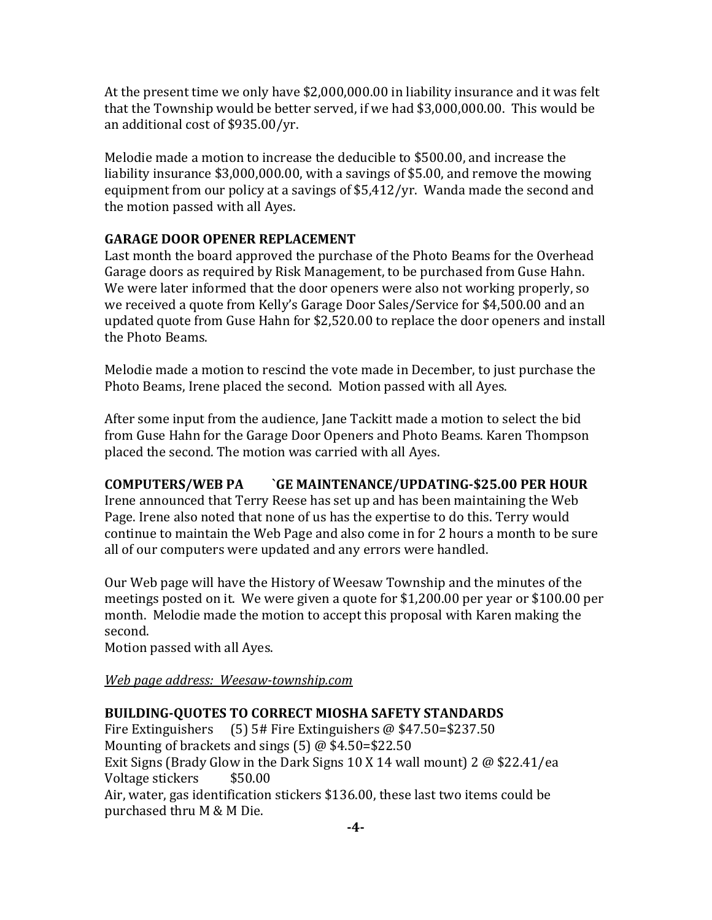At the present time we only have  $$2,000,000.00$  in liability insurance and it was felt that the Township would be better served, if we had  $$3,000,000.00$ . This would be an additional cost of \$935.00/yr.

Melodie made a motion to increase the deducible to \$500.00, and increase the liability insurance  $$3,000,000.00$ , with a savings of  $$5.00$ , and remove the mowing equipment from our policy at a savings of  $$5,412/yr$ . Wanda made the second and the motion passed with all Ayes.

## **GARAGE DOOR OPENER REPLACEMENT**

Last month the board approved the purchase of the Photo Beams for the Overhead Garage doors as required by Risk Management, to be purchased from Guse Hahn. We were later informed that the door openers were also not working properly, so we received a quote from Kelly's Garage Door Sales/Service for \$4,500.00 and an updated quote from Guse Hahn for \$2,520.00 to replace the door openers and install the Photo Beams.

Melodie made a motion to rescind the vote made in December, to just purchase the Photo Beams, Irene placed the second. Motion passed with all Ayes.

After some input from the audience, Jane Tackitt made a motion to select the bid from Guse Hahn for the Garage Door Openers and Photo Beams. Karen Thompson placed the second. The motion was carried with all Ayes.

## **COMPUTERS/WEB PA `GE MAINTENANCE/UPDATING-\$25.00 PER HOUR**

Irene announced that Terry Reese has set up and has been maintaining the Web Page. Irene also noted that none of us has the expertise to do this. Terry would continue to maintain the Web Page and also come in for 2 hours a month to be sure all of our computers were updated and any errors were handled.

Our Web page will have the History of Weesaw Township and the minutes of the meetings posted on it. We were given a quote for \$1,200.00 per year or \$100.00 per month. Melodie made the motion to accept this proposal with Karen making the second.

Motion passed with all Ayes.

*Web page address: Weesaw-township.com*

## **BUILDING-QUOTES TO CORRECT MIOSHA SAFETY STANDARDS**

Fire Extinguishers  $(5)$  5# Fire Extinguishers @ \$47.50=\$237.50 Mounting of brackets and sings  $(5)$  @ \$4.50=\$22.50 Exit Signs (Brady Glow in the Dark Signs  $10 \text{ X } 14$  wall mount)  $2 \text{ @ } $22.41$ /ea Voltage stickers \$50.00 Air, water, gas identification stickers \$136.00, these last two items could be purchased thru M & M Die.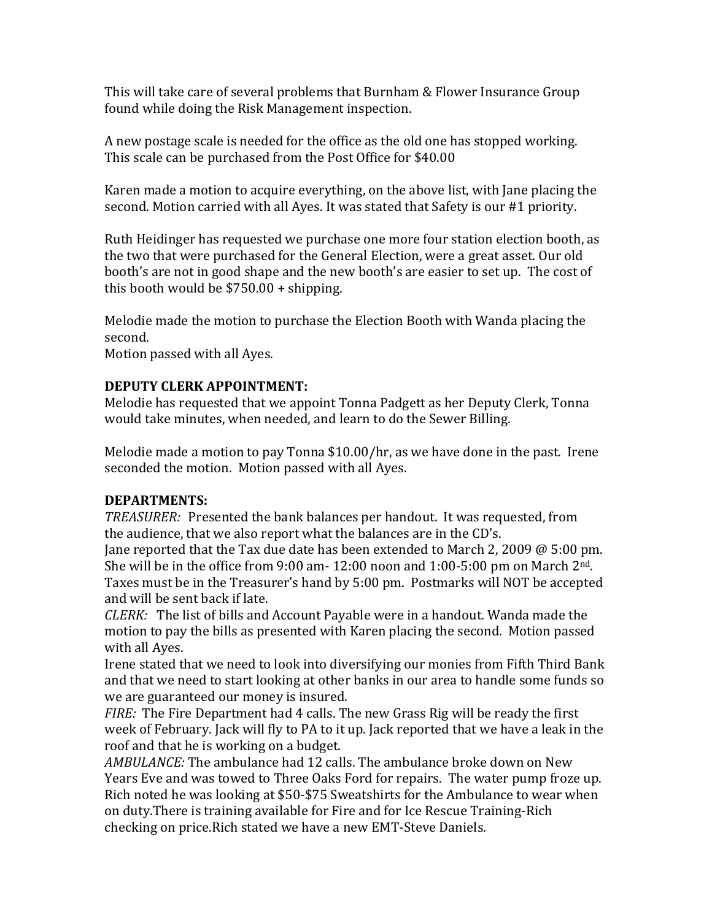This will take care of several problems that Burnham & Flower Insurance Group found while doing the Risk Management inspection.

A new postage scale is needed for the office as the old one has stopped working. This scale can be purchased from the Post Office for \$40.00

Karen made a motion to acquire everything, on the above list, with Jane placing the second. Motion carried with all Ayes. It was stated that Safety is our #1 priority.

Ruth Heidinger has requested we purchase one more four station election booth, as the two that were purchased for the General Election, were a great asset. Our old booth's are not in good shape and the new booth's are easier to set up. The cost of this booth would be  $$750.00 + shipping$ .

Melodie made the motion to purchase the Election Booth with Wanda placing the second.

Motion passed with all Ayes.

#### **DEPUTY CLERK APPOINTMENT:**

Melodie has requested that we appoint Tonna Padgett as her Deputy Clerk, Tonna would take minutes, when needed, and learn to do the Sewer Billing.

Melodie made a motion to pay Tonna  $$10.00/hr$ , as we have done in the past. Irene seconded the motion. Motion passed with all Ayes.

#### **DEPARTMENTS:**

*TREASURER:* Presented the bank balances per handout. It was requested, from the audience, that we also report what the balances are in the CD's.

Jane reported that the Tax due date has been extended to March 2, 2009  $\omega$  5:00 pm. She will be in the office from 9:00 am-  $12:00$  noon and  $1:00-5:00$  pm on March  $2<sup>nd</sup>$ . Taxes must be in the Treasurer's hand by 5:00 pm. Postmarks will NOT be accepted and will be sent back if late.

*CLERK:* The list of bills and Account Payable were in a handout. Wanda made the motion to pay the bills as presented with Karen placing the second. Motion passed with all Aves.

Irene stated that we need to look into diversifying our monies from Fifth Third Bank and that we need to start looking at other banks in our area to handle some funds so we are guaranteed our money is insured.

*FIRE:* The Fire Department had 4 calls. The new Grass Rig will be ready the first week of February. Jack will fly to PA to it up. Jack reported that we have a leak in the roof and that he is working on a budget.

*AMBULANCE:* The ambulance had 12 calls. The ambulance broke down on New Years Eve and was towed to Three Oaks Ford for repairs. The water pump froze up. Rich noted he was looking at \$50-\$75 Sweatshirts for the Ambulance to wear when on duty. There is training available for Fire and for Ice Rescue Training-Rich checking on price.Rich stated we have a new EMT-Steve Daniels.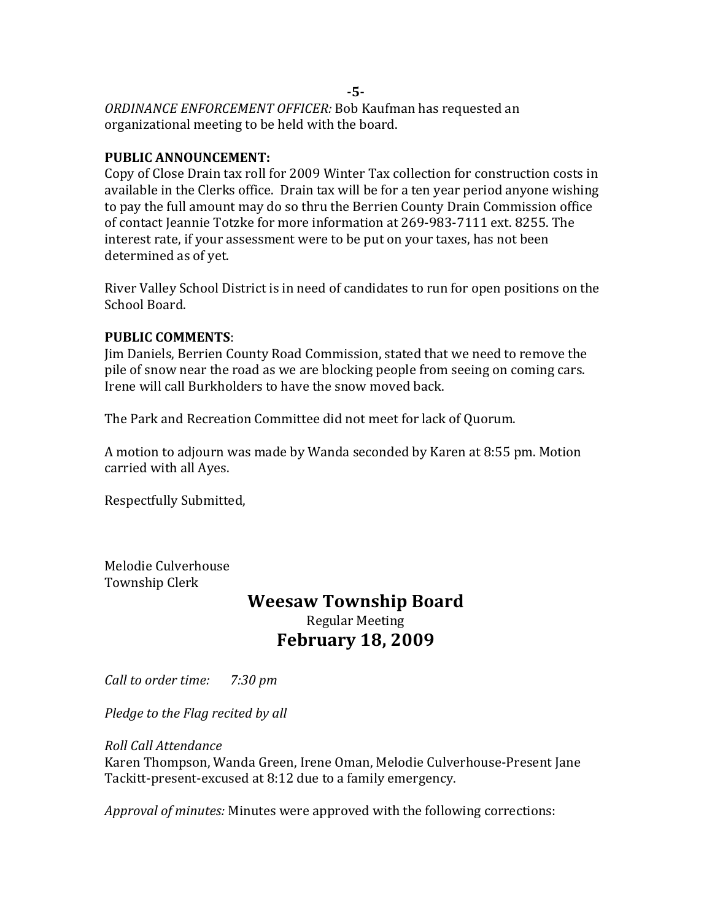*ORDINANCE ENFORCEMENT OFFICER: Bob Kaufman has requested an* organizational meeting to be held with the board.

#### **PUBLIC ANNOUNCEMENT:**

Copy of Close Drain tax roll for 2009 Winter Tax collection for construction costs in available in the Clerks office. Drain tax will be for a ten year period anyone wishing to pay the full amount may do so thru the Berrien County Drain Commission office of contact Jeannie Totzke for more information at 269-983-7111 ext. 8255. The interest rate, if your assessment were to be put on your taxes, has not been determined as of yet.

River Valley School District is in need of candidates to run for open positions on the School Board.

#### **PUBLIC COMMENTS**:

Jim Daniels, Berrien County Road Commission, stated that we need to remove the pile of snow near the road as we are blocking people from seeing on coming cars. Irene will call Burkholders to have the snow moved back.

The Park and Recreation Committee did not meet for lack of Quorum.

A motion to adjourn was made by Wanda seconded by Karen at 8:55 pm. Motion carried with all Ayes.

Respectfully Submitted,

Melodie Culverhouse Township Clerk

# **Weesaw Township Board** Regular Meeting **February 18, 2009**

*Call to order time: 7:30 pm*

*Pledge to the Flag recited by all* 

*Roll Call Attendance*

Karen Thompson, Wanda Green, Irene Oman, Melodie Culverhouse-Present Jane Tackitt-present-excused at 8:12 due to a family emergency.

*Approval of minutes:* Minutes were approved with the following corrections:

**-5-**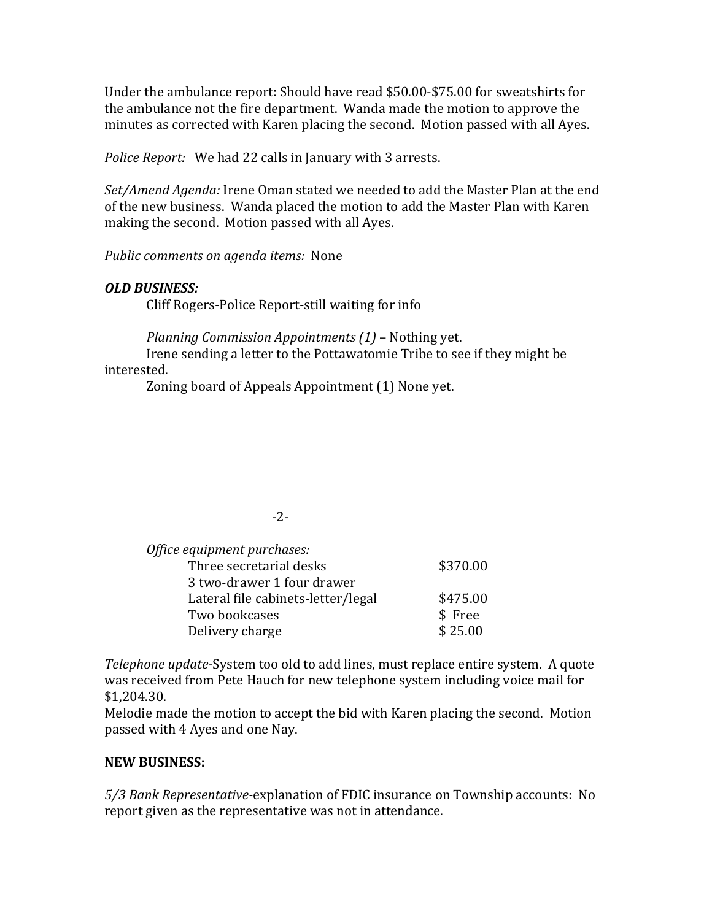Under the ambulance report: Should have read \$50.00-\$75.00 for sweatshirts for the ambulance not the fire department. Wanda made the motion to approve the minutes as corrected with Karen placing the second. Motion passed with all Ayes.

*Police Report:* We had 22 calls in January with 3 arrests.

*Set/Amend Agenda:* Irene Oman stated we needed to add the Master Plan at the end of the new business. Wanda placed the motion to add the Master Plan with Karen making the second. Motion passed with all Ayes.

*Public comments on agenda items:* None

#### *OLD BUSINESS:*

Cliff Rogers-Police Report-still waiting for info

*Planning Commission Appointments* (1) – Nothing yet.

Irene sending a letter to the Pottawatomie Tribe to see if they might be interested.

Zoning board of Appeals Appointment (1) None yet.

#### -2-

| Office equipment purchases:        |          |
|------------------------------------|----------|
| Three secretarial desks            | \$370.00 |
| 3 two-drawer 1 four drawer         |          |
| Lateral file cabinets-letter/legal | \$475.00 |
| Two bookcases                      | \$ Free  |
| Delivery charge                    | \$25.00  |

*Telephone update-System too old to add lines, must replace entire system.* A quote was received from Pete Hauch for new telephone system including voice mail for \$1,204.30.

Melodie made the motion to accept the bid with Karen placing the second. Motion passed with 4 Ayes and one Nay.

#### **NEW BUSINESS:**

*5/3 Bank Representative-*explanation of FDIC insurance on Township accounts: No report given as the representative was not in attendance.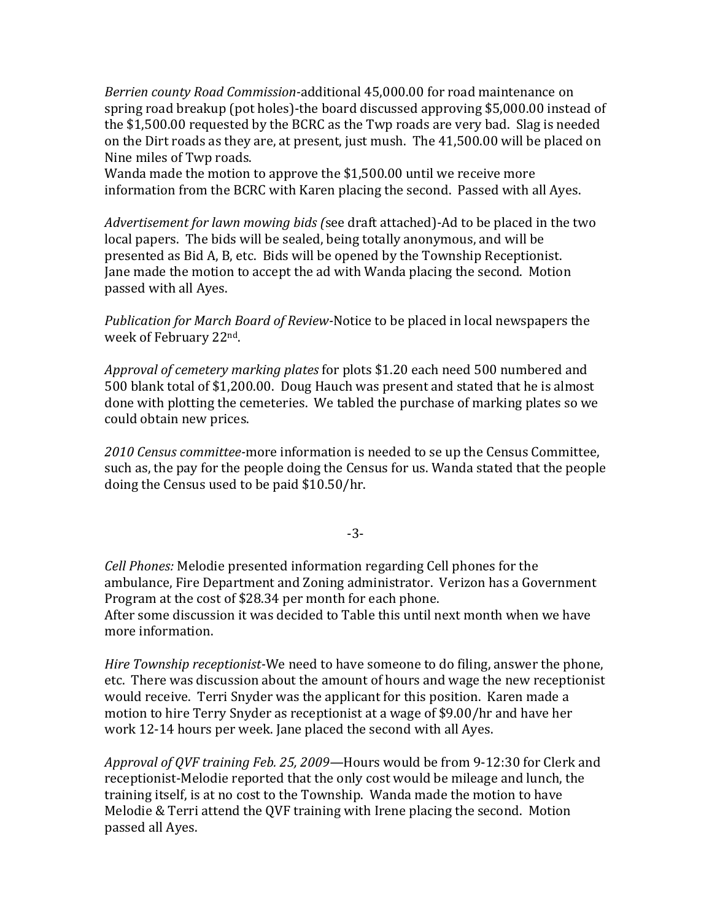*Berrien county Road Commission-additional* 45,000.00 for road maintenance on spring road breakup (pot holes)-the board discussed approving \$5,000.00 instead of the \$1,500.00 requested by the BCRC as the Twp roads are very bad. Slag is needed on the Dirt roads as they are, at present, just mush. The 41,500.00 will be placed on Nine miles of Twp roads.

Wanda made the motion to approve the  $$1,500.00$  until we receive more information from the BCRC with Karen placing the second. Passed with all Ayes.

*Advertisement for lawn mowing bids* (see draft attached)-Ad to be placed in the two local papers. The bids will be sealed, being totally anonymous, and will be presented as Bid A, B, etc. Bids will be opened by the Township Receptionist. Jane made the motion to accept the ad with Wanda placing the second. Motion passed with all Ayes.

*Publication for March Board of Review-Notice to be placed in local newspapers the* week of February 22<sup>nd</sup>.

Approval of cemetery marking plates for plots \$1.20 each need 500 numbered and 500 blank total of \$1,200.00. Doug Hauch was present and stated that he is almost done with plotting the cemeteries. We tabled the purchase of marking plates so we could obtain new prices.

2010 Census committee-more information is needed to se up the Census Committee, such as, the pay for the people doing the Census for us. Wanda stated that the people doing the Census used to be paid \$10.50/hr.

-3-

*Cell Phones:* Melodie presented information regarding Cell phones for the ambulance, Fire Department and Zoning administrator. Verizon has a Government Program at the cost of \$28.34 per month for each phone. After some discussion it was decided to Table this until next month when we have more information.

*Hire Township receptionist-*We need to have someone to do filing, answer the phone, etc. There was discussion about the amount of hours and wage the new receptionist would receive. Terri Snyder was the applicant for this position. Karen made a motion to hire Terry Snyder as receptionist at a wage of \$9.00/hr and have her work 12-14 hours per week. Jane placed the second with all Ayes.

*Approval of QVF training Feb. 25, 2009—Hours* would be from 9-12:30 for Clerk and receptionist-Melodie reported that the only cost would be mileage and lunch, the training itself, is at no cost to the Township. Wanda made the motion to have Melodie & Terri attend the QVF training with Irene placing the second. Motion passed all Ayes.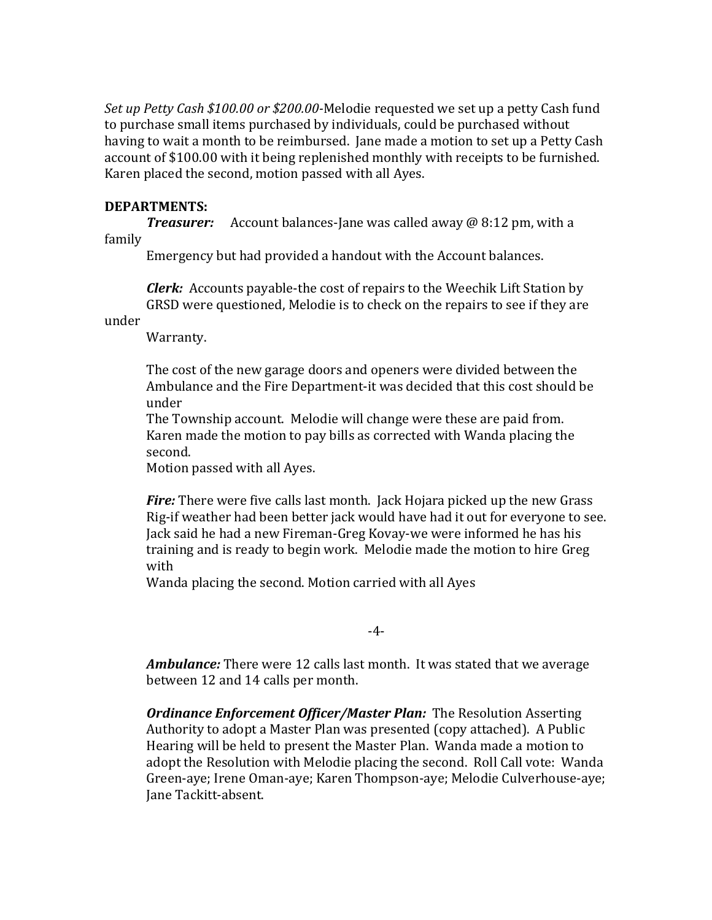*Set up Petty Cash \$100.00 or \$200.00-*Melodie requested we set up a petty Cash fund to purchase small items purchased by individuals, could be purchased without having to wait a month to be reimbursed. Jane made a motion to set up a Petty Cash account of \$100.00 with it being replenished monthly with receipts to be furnished. Karen placed the second, motion passed with all Ayes.

#### **DEPARTMENTS:**

**Treasurer:** Account balances-Jane was called away @ 8:12 pm, with a family

Emergency but had provided a handout with the Account balances.

*Clerk:* Accounts payable-the cost of repairs to the Weechik Lift Station by GRSD were questioned, Melodie is to check on the repairs to see if they are

under

Warranty.

The cost of the new garage doors and openers were divided between the Ambulance and the Fire Department-it was decided that this cost should be under

The Township account. Melodie will change were these are paid from. Karen made the motion to pay bills as corrected with Wanda placing the second.

Motion passed with all Ayes.

*Fire:* There were five calls last month. Jack Hojara picked up the new Grass Rig-if weather had been better jack would have had it out for everyone to see. Jack said he had a new Fireman-Greg Kovay-we were informed he has his training and is ready to begin work. Melodie made the motion to hire Greg with

Wanda placing the second. Motion carried with all Ayes

-4-

**Ambulance:** There were 12 calls last month. It was stated that we average between 12 and 14 calls per month.

*Ordinance Enforcement Officer/Master Plan:* The Resolution Asserting Authority to adopt a Master Plan was presented (copy attached). A Public Hearing will be held to present the Master Plan. Wanda made a motion to adopt the Resolution with Melodie placing the second. Roll Call vote: Wanda Green-aye; Irene Oman-aye; Karen Thompson-aye; Melodie Culverhouse-aye; Jane Tackitt-absent.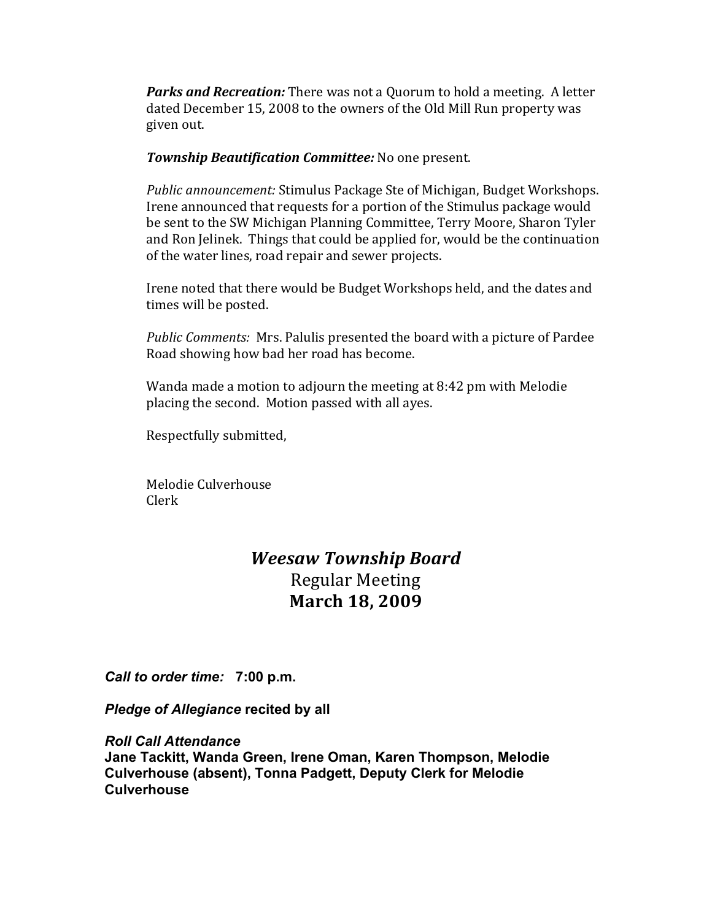**Parks and Recreation:** There was not a Quorum to hold a meeting. A letter dated December 15, 2008 to the owners of the Old Mill Run property was given out.

**Township Beautification Committee:** No one present.

*Public announcement:* Stimulus Package Ste of Michigan, Budget Workshops. Irene announced that requests for a portion of the Stimulus package would be sent to the SW Michigan Planning Committee, Terry Moore, Sharon Tyler and Ron Jelinek. Things that could be applied for, would be the continuation of the water lines, road repair and sewer projects.

Irene noted that there would be Budget Workshops held, and the dates and times will be posted.

Public Comments: Mrs. Palulis presented the board with a picture of Pardee Road showing how bad her road has become.

Wanda made a motion to adjourn the meeting at  $8:42$  pm with Melodie placing the second. Motion passed with all ayes.

Respectfully submitted,

Melodie Culverhouse Clerk

# *Weesaw Township Board* Regular Meeting **March 18, 2009**

*Call to order time:* **7:00 p.m.**

*Pledge of Allegiance* **recited by all**

*Roll Call Attendance*

**Jane Tackitt, Wanda Green, Irene Oman, Karen Thompson, Melodie Culverhouse (absent), Tonna Padgett, Deputy Clerk for Melodie Culverhouse**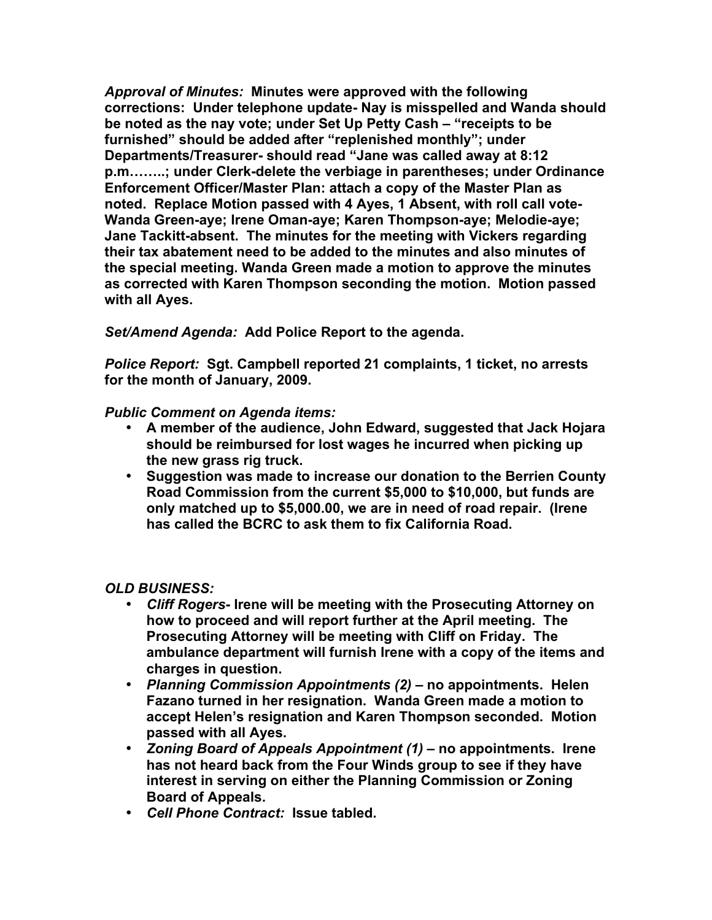*Approval of Minutes:* **Minutes were approved with the following corrections: Under telephone update- Nay is misspelled and Wanda should be noted as the nay vote; under Set Up Petty Cash – "receipts to be furnished" should be added after "replenished monthly"; under Departments/Treasurer- should read "Jane was called away at 8:12 p.m……..; under Clerk-delete the verbiage in parentheses; under Ordinance Enforcement Officer/Master Plan: attach a copy of the Master Plan as noted. Replace Motion passed with 4 Ayes, 1 Absent, with roll call vote-Wanda Green-aye; Irene Oman-aye; Karen Thompson-aye; Melodie-aye; Jane Tackitt-absent. The minutes for the meeting with Vickers regarding their tax abatement need to be added to the minutes and also minutes of the special meeting. Wanda Green made a motion to approve the minutes as corrected with Karen Thompson seconding the motion. Motion passed with all Ayes.**

*Set/Amend Agenda:* **Add Police Report to the agenda.**

*Police Report:* **Sgt. Campbell reported 21 complaints, 1 ticket, no arrests for the month of January, 2009.**

## *Public Comment on Agenda items:*

- **A member of the audience, John Edward, suggested that Jack Hojara should be reimbursed for lost wages he incurred when picking up the new grass rig truck.**
- **Suggestion was made to increase our donation to the Berrien County Road Commission from the current \$5,000 to \$10,000, but funds are only matched up to \$5,000.00, we are in need of road repair. (Irene has called the BCRC to ask them to fix California Road.**

*OLD BUSINESS:*

- *Cliff Rogers* **Irene will be meeting with the Prosecuting Attorney on how to proceed and will report further at the April meeting. The Prosecuting Attorney will be meeting with Cliff on Friday. The ambulance department will furnish Irene with a copy of the items and charges in question.**
- *Planning Commission Appointments (2) –* **no appointments. Helen Fazano turned in her resignation. Wanda Green made a motion to accept Helen's resignation and Karen Thompson seconded. Motion passed with all Ayes.**
- *Zoning Board of Appeals Appointment (1)*  **no appointments. Irene has not heard back from the Four Winds group to see if they have interest in serving on either the Planning Commission or Zoning Board of Appeals.**
- *Cell Phone Contract:* **Issue tabled.**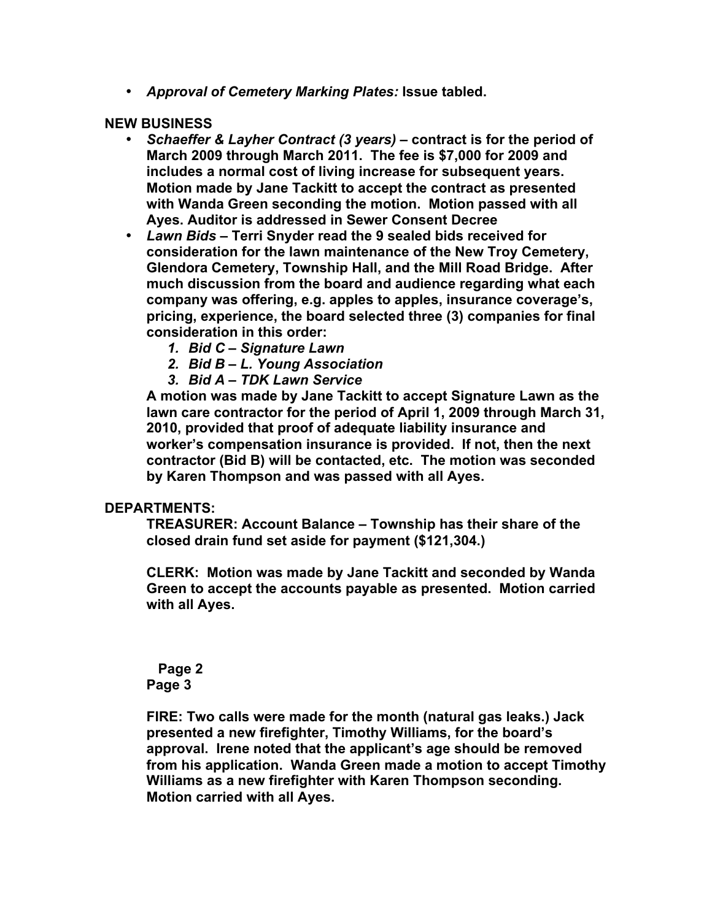• *Approval of Cemetery Marking Plates:* **Issue tabled.**

#### **NEW BUSINESS**

- *Schaeffer & Layher Contract (3 years)*  **contract is for the period of March 2009 through March 2011. The fee is \$7,000 for 2009 and includes a normal cost of living increase for subsequent years. Motion made by Jane Tackitt to accept the contract as presented with Wanda Green seconding the motion. Motion passed with all Ayes. Auditor is addressed in Sewer Consent Decree**
- *Lawn Bids*  **Terri Snyder read the 9 sealed bids received for consideration for the lawn maintenance of the New Troy Cemetery, Glendora Cemetery, Township Hall, and the Mill Road Bridge. After much discussion from the board and audience regarding what each company was offering, e.g. apples to apples, insurance coverage's, pricing, experience, the board selected three (3) companies for final consideration in this order:** 
	- *1. Bid C Signature Lawn*
	- *2. Bid B L. Young Association*
	- *3. Bid A TDK Lawn Service*

**A motion was made by Jane Tackitt to accept Signature Lawn as the lawn care contractor for the period of April 1, 2009 through March 31, 2010, provided that proof of adequate liability insurance and worker's compensation insurance is provided. If not, then the next contractor (Bid B) will be contacted, etc. The motion was seconded by Karen Thompson and was passed with all Ayes.**

#### **DEPARTMENTS:**

**TREASURER: Account Balance – Township has their share of the closed drain fund set aside for payment (\$121,304.)**

**CLERK: Motion was made by Jane Tackitt and seconded by Wanda Green to accept the accounts payable as presented. Motion carried with all Ayes.**

 **Page 2 Page 3**

**FIRE: Two calls were made for the month (natural gas leaks.) Jack presented a new firefighter, Timothy Williams, for the board's approval. Irene noted that the applicant's age should be removed from his application. Wanda Green made a motion to accept Timothy Williams as a new firefighter with Karen Thompson seconding. Motion carried with all Ayes.**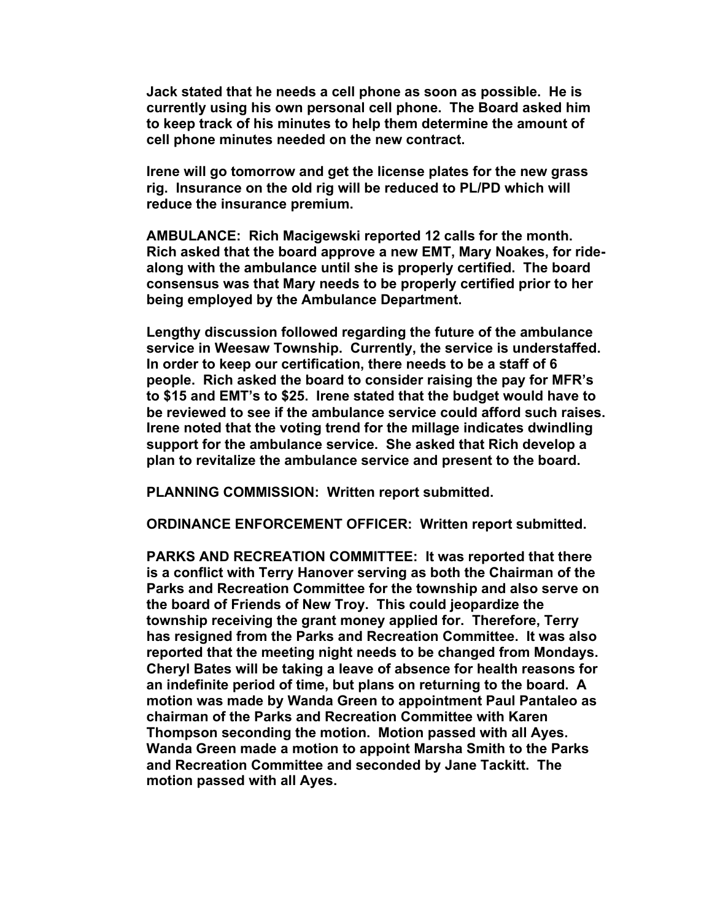**Jack stated that he needs a cell phone as soon as possible. He is currently using his own personal cell phone. The Board asked him to keep track of his minutes to help them determine the amount of cell phone minutes needed on the new contract.**

**Irene will go tomorrow and get the license plates for the new grass rig. Insurance on the old rig will be reduced to PL/PD which will reduce the insurance premium.**

**AMBULANCE: Rich Macigewski reported 12 calls for the month. Rich asked that the board approve a new EMT, Mary Noakes, for ridealong with the ambulance until she is properly certified. The board consensus was that Mary needs to be properly certified prior to her being employed by the Ambulance Department.**

**Lengthy discussion followed regarding the future of the ambulance service in Weesaw Township. Currently, the service is understaffed. In order to keep our certification, there needs to be a staff of 6 people. Rich asked the board to consider raising the pay for MFR's to \$15 and EMT's to \$25. Irene stated that the budget would have to be reviewed to see if the ambulance service could afford such raises. Irene noted that the voting trend for the millage indicates dwindling support for the ambulance service. She asked that Rich develop a plan to revitalize the ambulance service and present to the board.**

**PLANNING COMMISSION: Written report submitted.**

**ORDINANCE ENFORCEMENT OFFICER: Written report submitted.**

**PARKS AND RECREATION COMMITTEE: It was reported that there is a conflict with Terry Hanover serving as both the Chairman of the Parks and Recreation Committee for the township and also serve on the board of Friends of New Troy. This could jeopardize the township receiving the grant money applied for. Therefore, Terry has resigned from the Parks and Recreation Committee. It was also reported that the meeting night needs to be changed from Mondays. Cheryl Bates will be taking a leave of absence for health reasons for an indefinite period of time, but plans on returning to the board. A motion was made by Wanda Green to appointment Paul Pantaleo as chairman of the Parks and Recreation Committee with Karen Thompson seconding the motion. Motion passed with all Ayes. Wanda Green made a motion to appoint Marsha Smith to the Parks and Recreation Committee and seconded by Jane Tackitt. The motion passed with all Ayes.**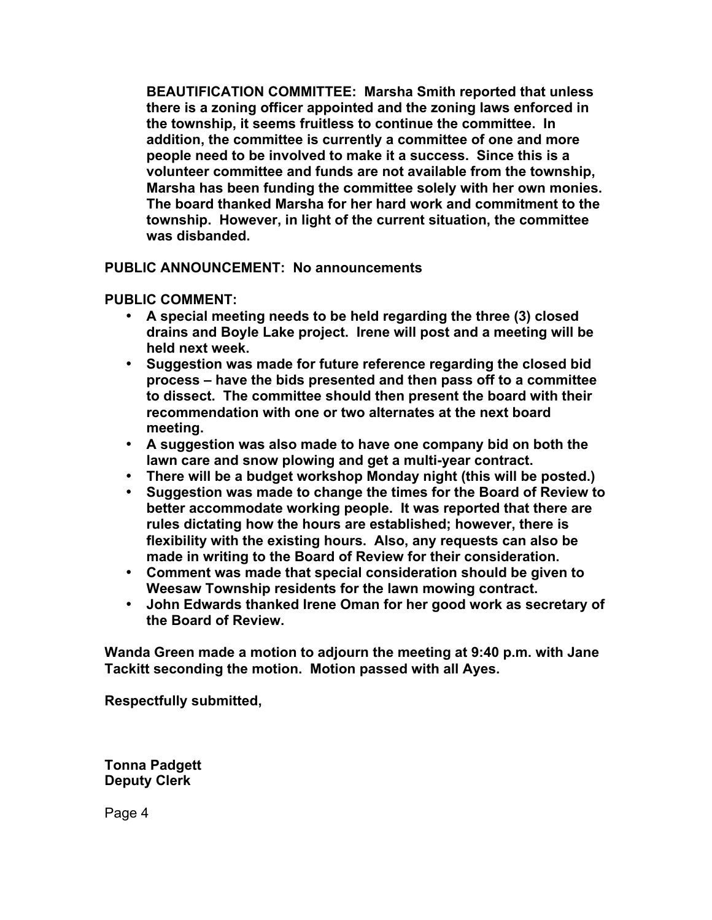**BEAUTIFICATION COMMITTEE: Marsha Smith reported that unless there is a zoning officer appointed and the zoning laws enforced in the township, it seems fruitless to continue the committee. In addition, the committee is currently a committee of one and more people need to be involved to make it a success. Since this is a volunteer committee and funds are not available from the township, Marsha has been funding the committee solely with her own monies. The board thanked Marsha for her hard work and commitment to the township. However, in light of the current situation, the committee was disbanded.**

**PUBLIC ANNOUNCEMENT: No announcements**

**PUBLIC COMMENT:**

- **A special meeting needs to be held regarding the three (3) closed drains and Boyle Lake project. Irene will post and a meeting will be held next week.**
- **Suggestion was made for future reference regarding the closed bid process – have the bids presented and then pass off to a committee to dissect. The committee should then present the board with their recommendation with one or two alternates at the next board meeting.**
- **A suggestion was also made to have one company bid on both the lawn care and snow plowing and get a multi-year contract.**
- **There will be a budget workshop Monday night (this will be posted.)**
- **Suggestion was made to change the times for the Board of Review to better accommodate working people. It was reported that there are rules dictating how the hours are established; however, there is flexibility with the existing hours. Also, any requests can also be made in writing to the Board of Review for their consideration.**
- **Comment was made that special consideration should be given to Weesaw Township residents for the lawn mowing contract.**
- **John Edwards thanked Irene Oman for her good work as secretary of the Board of Review.**

**Wanda Green made a motion to adjourn the meeting at 9:40 p.m. with Jane Tackitt seconding the motion. Motion passed with all Ayes.**

**Respectfully submitted,**

**Tonna Padgett Deputy Clerk**

Page 4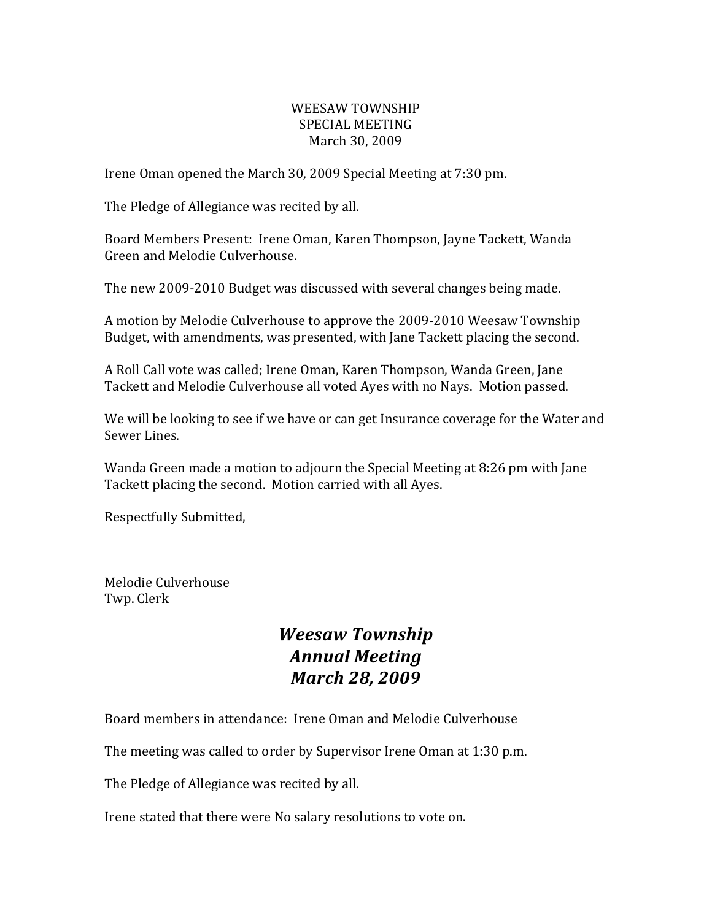#### WEESAW TOWNSHIP SPECIAL MEETING March 30, 2009

Irene Oman opened the March 30, 2009 Special Meeting at 7:30 pm.

The Pledge of Allegiance was recited by all.

Board Members Present: Irene Oman, Karen Thompson, Jayne Tackett, Wanda Green and Melodie Culverhouse.

The new 2009-2010 Budget was discussed with several changes being made.

A motion by Melodie Culverhouse to approve the 2009-2010 Weesaw Township Budget, with amendments, was presented, with Jane Tackett placing the second.

A Roll Call vote was called; Irene Oman, Karen Thompson, Wanda Green, Jane Tackett and Melodie Culverhouse all voted Ayes with no Nays. Motion passed.

We will be looking to see if we have or can get Insurance coverage for the Water and Sewer Lines.

Wanda Green made a motion to adjourn the Special Meeting at 8:26 pm with Jane Tackett placing the second. Motion carried with all Ayes.

Respectfully Submitted,

Melodie Culverhouse Twp. Clerk

# *Weesaw Township Annual Meeting March 28, 2009*

Board members in attendance: Irene Oman and Melodie Culverhouse

The meeting was called to order by Supervisor Irene Oman at 1:30 p.m.

The Pledge of Allegiance was recited by all.

Irene stated that there were No salary resolutions to vote on.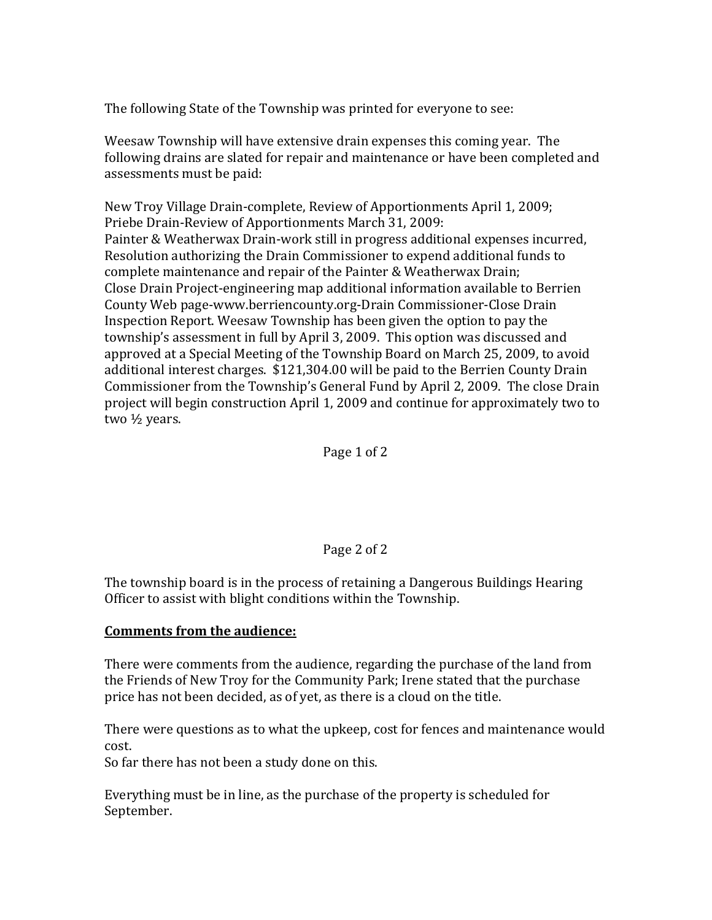The following State of the Township was printed for everyone to see:

Weesaw Township will have extensive drain expenses this coming year. The following drains are slated for repair and maintenance or have been completed and assessments must be paid:

New Troy Village Drain-complete, Review of Apportionments April 1, 2009; Priebe Drain-Review of Apportionments March 31, 2009: Painter & Weatherwax Drain-work still in progress additional expenses incurred, Resolution authorizing the Drain Commissioner to expend additional funds to complete maintenance and repair of the Painter & Weatherwax Drain; Close Drain Project-engineering map additional information available to Berrien County Web page-www.berriencounty.org-Drain Commissioner-Close Drain Inspection Report. Weesaw Township has been given the option to pay the township's assessment in full by April 3, 2009. This option was discussed and approved at a Special Meeting of the Township Board on March 25, 2009, to avoid additional interest charges. \$121,304.00 will be paid to the Berrien County Drain Commissioner from the Township's General Fund by April 2, 2009. The close Drain project will begin construction April 1, 2009 and continue for approximately two to two ½ years.

#### Page 1 of 2

#### Page 2 of 2

The township board is in the process of retaining a Dangerous Buildings Hearing Officer to assist with blight conditions within the Township.

#### **Comments from the audience:**

There were comments from the audience, regarding the purchase of the land from the Friends of New Troy for the Community Park; Irene stated that the purchase price has not been decided, as of yet, as there is a cloud on the title.

There were questions as to what the upkeep, cost for fences and maintenance would cost.

So far there has not been a study done on this.

Everything must be in line, as the purchase of the property is scheduled for September.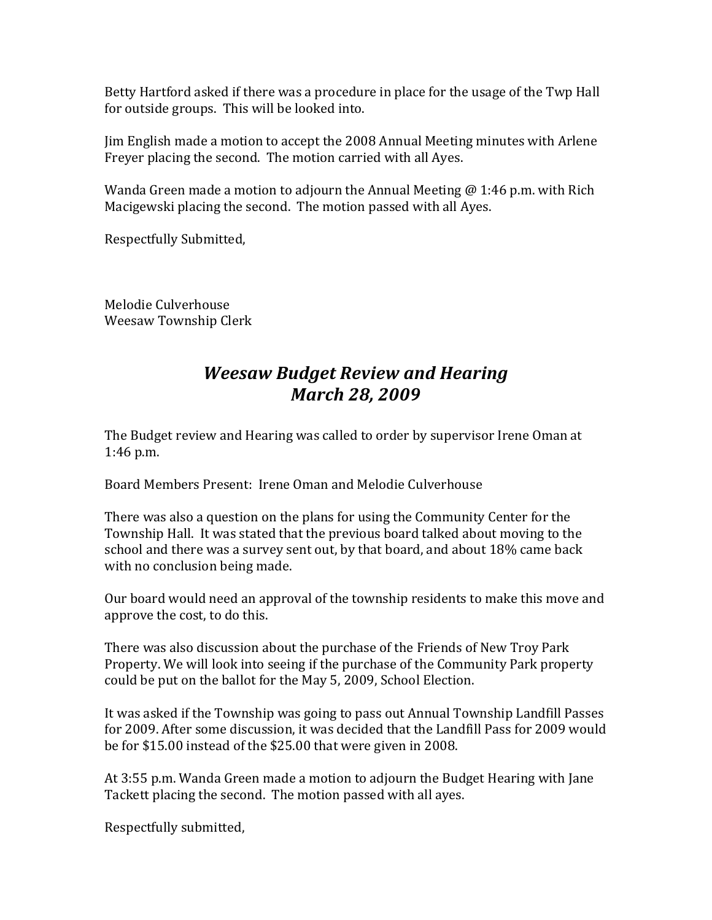Betty Hartford asked if there was a procedure in place for the usage of the Twp Hall for outside groups. This will be looked into.

Jim English made a motion to accept the 2008 Annual Meeting minutes with Arlene Freyer placing the second. The motion carried with all Ayes.

Wanda Green made a motion to adjourn the Annual Meeting  $\omega$  1:46 p.m. with Rich Macigewski placing the second. The motion passed with all Ayes.

Respectfully Submitted,

Melodie Culverhouse Weesaw Township Clerk

# *Weesaw Budget Review and Hearing March 28, 2009*

The Budget review and Hearing was called to order by supervisor Irene Oman at  $1:46$  p.m.

Board Members Present: Irene Oman and Melodie Culverhouse

There was also a question on the plans for using the Community Center for the Township Hall. It was stated that the previous board talked about moving to the school and there was a survey sent out, by that board, and about 18% came back with no conclusion being made.

Our board would need an approval of the township residents to make this move and approve the cost, to do this.

There was also discussion about the purchase of the Friends of New Troy Park Property. We will look into seeing if the purchase of the Community Park property could be put on the ballot for the May 5, 2009, School Election.

It was asked if the Township was going to pass out Annual Township Landfill Passes for 2009. After some discussion, it was decided that the Landfill Pass for 2009 would be for \$15.00 instead of the \$25.00 that were given in 2008.

At 3:55 p.m. Wanda Green made a motion to adjourn the Budget Hearing with Jane Tackett placing the second. The motion passed with all ayes.

Respectfully submitted,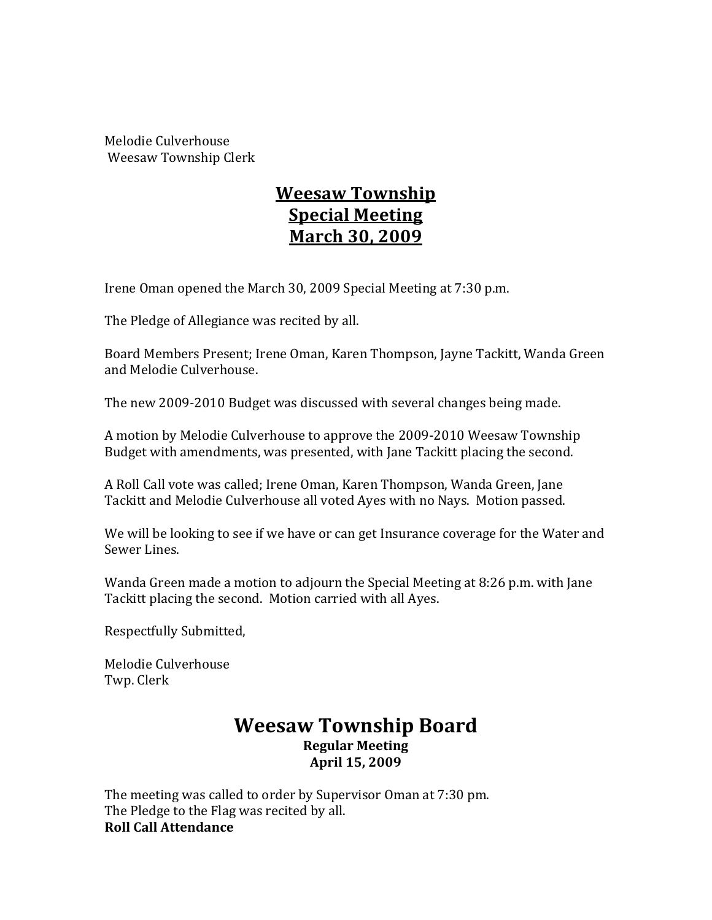Melodie Culverhouse Weesaw Township Clerk

# **Weesaw Township Special Meeting March 30, 2009**

Irene Oman opened the March 30, 2009 Special Meeting at 7:30 p.m.

The Pledge of Allegiance was recited by all.

Board Members Present; Irene Oman, Karen Thompson, Jayne Tackitt, Wanda Green and Melodie Culverhouse.

The new 2009-2010 Budget was discussed with several changes being made.

A motion by Melodie Culverhouse to approve the 2009-2010 Weesaw Township Budget with amendments, was presented, with Jane Tackitt placing the second.

A Roll Call vote was called; Irene Oman, Karen Thompson, Wanda Green, Jane Tackitt and Melodie Culverhouse all voted Ayes with no Nays. Motion passed.

We will be looking to see if we have or can get Insurance coverage for the Water and Sewer Lines.

Wanda Green made a motion to adjourn the Special Meeting at 8:26 p.m. with Jane Tackitt placing the second. Motion carried with all Ayes.

Respectfully Submitted,

Melodie Culverhouse Twp. Clerk

## **Weesaw Township Board Regular Meeting April 15, 2009**

The meeting was called to order by Supervisor Oman at 7:30 pm. The Pledge to the Flag was recited by all. **Roll Call Attendance**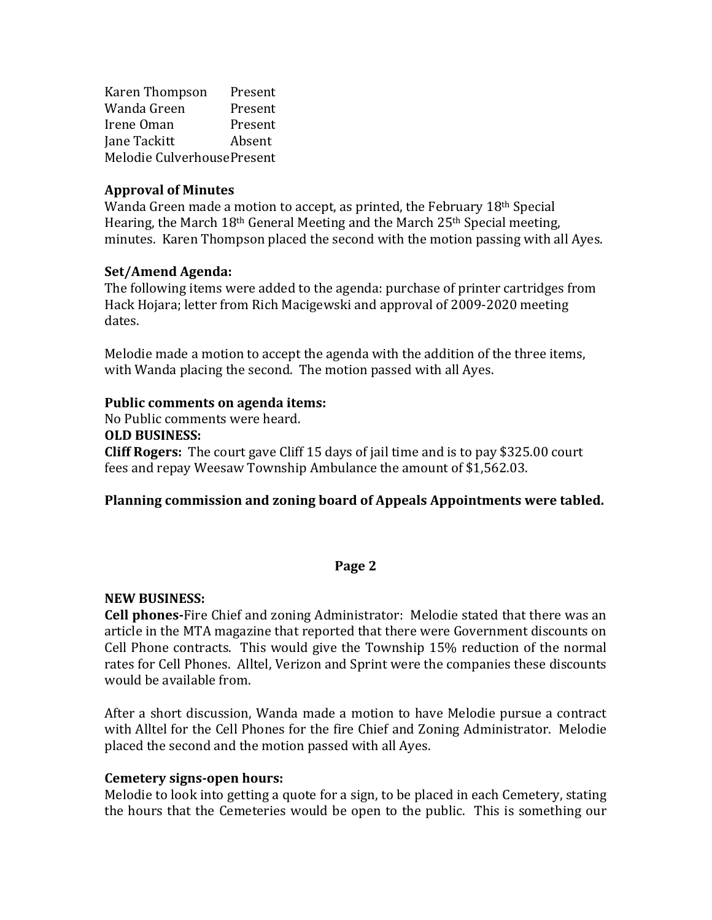Karen Thompson Present Wanda Green Present Irene Oman Present Jane Tackitt Absent Melodie CulverhousePresent

#### **Approval of Minutes**

Wanda Green made a motion to accept, as printed, the February  $18<sup>th</sup>$  Special Hearing, the March  $18<sup>th</sup>$  General Meeting and the March  $25<sup>th</sup>$  Special meeting, minutes. Karen Thompson placed the second with the motion passing with all Aves.

#### **Set/Amend Agenda:**

The following items were added to the agenda: purchase of printer cartridges from Hack Hojara; letter from Rich Macigewski and approval of 2009-2020 meeting dates.

Melodie made a motion to accept the agenda with the addition of the three items, with Wanda placing the second. The motion passed with all Ayes.

#### **Public comments on agenda items:**

No Public comments were heard.

**OLD BUSINESS:**

**Cliff Rogers:** The court gave Cliff 15 days of jail time and is to pay \$325.00 court fees and repay Weesaw Township Ambulance the amount of \$1,562.03.

#### **Planning commission and zoning board of Appeals Appointments were tabled.**

#### **Page 2**

#### **NEW BUSINESS:**

**Cell phones-**Fire Chief and zoning Administrator: Melodie stated that there was an article in the MTA magazine that reported that there were Government discounts on Cell Phone contracts. This would give the Township  $15\%$  reduction of the normal rates for Cell Phones. Alltel, Verizon and Sprint were the companies these discounts would be available from.

After a short discussion, Wanda made a motion to have Melodie pursue a contract with Alltel for the Cell Phones for the fire Chief and Zoning Administrator. Melodie placed the second and the motion passed with all Ayes.

#### **Cemetery signs-open hours:**

Melodie to look into getting a quote for a sign, to be placed in each Cemetery, stating the hours that the Cemeteries would be open to the public. This is something our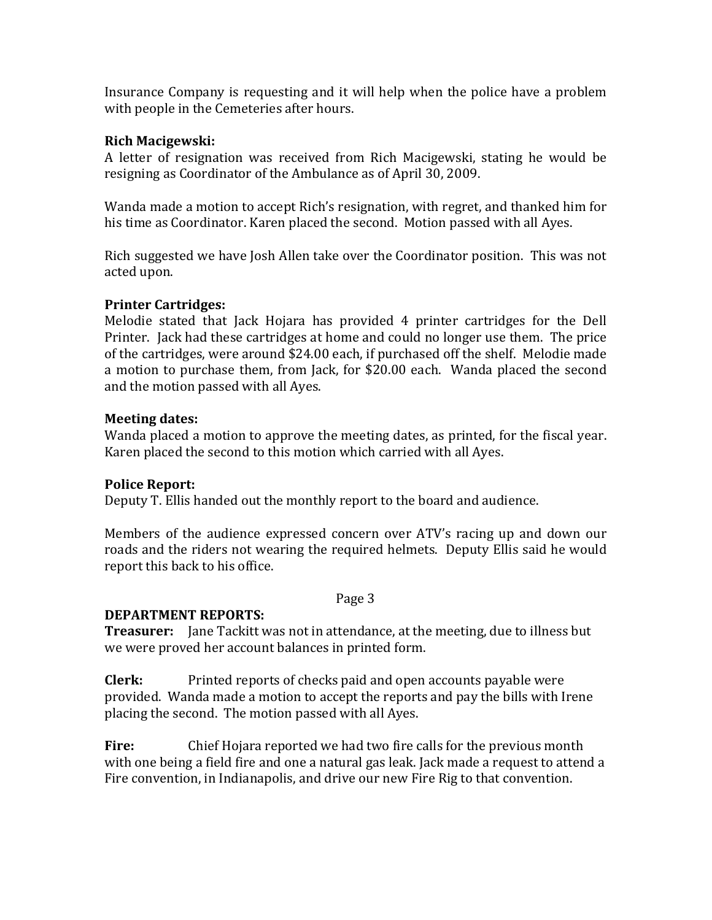Insurance Company is requesting and it will help when the police have a problem with people in the Cemeteries after hours.

#### **Rich Macigewski:**

A letter of resignation was received from Rich Macigewski, stating he would be resigning as Coordinator of the Ambulance as of April 30, 2009.

Wanda made a motion to accept Rich's resignation, with regret, and thanked him for his time as Coordinator. Karen placed the second. Motion passed with all Ayes.

Rich suggested we have Josh Allen take over the Coordinator position. This was not acted upon.

## **Printer Cartridges:**

Melodie stated that Jack Hojara has provided 4 printer cartridges for the Dell Printer. Jack had these cartridges at home and could no longer use them. The price of the cartridges, were around \$24.00 each, if purchased off the shelf. Melodie made a motion to purchase them, from Jack, for \$20.00 each. Wanda placed the second and the motion passed with all Ayes.

## **Meeting dates:**

Wanda placed a motion to approve the meeting dates, as printed, for the fiscal year. Karen placed the second to this motion which carried with all Ayes.

#### **Police Report:**

Deputy T. Ellis handed out the monthly report to the board and audience.

Members of the audience expressed concern over ATV's racing up and down our roads and the riders not wearing the required helmets. Deputy Ellis said he would report this back to his office.

Page 3

## **DEPARTMENT REPORTS:**

**Treasurer:** Jane Tackitt was not in attendance, at the meeting, due to illness but we were proved her account balances in printed form.

**Clerk:** Printed reports of checks paid and open accounts payable were provided. Wanda made a motion to accept the reports and pay the bills with Irene placing the second. The motion passed with all Ayes.

**Fire:** Chief Hojara reported we had two fire calls for the previous month with one being a field fire and one a natural gas leak. Jack made a request to attend a Fire convention, in Indianapolis, and drive our new Fire Rig to that convention.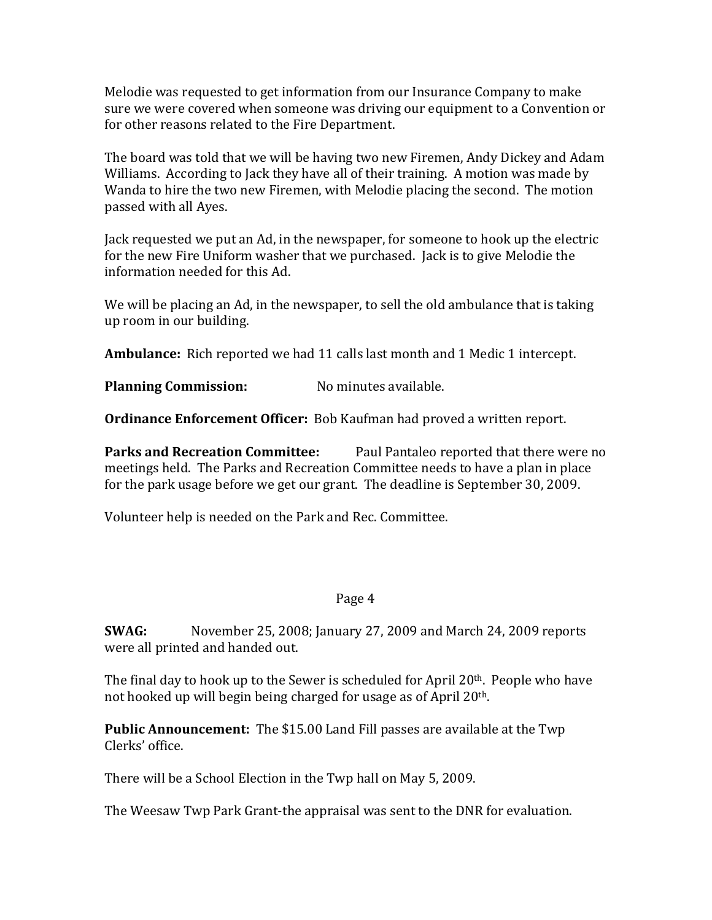Melodie was requested to get information from our Insurance Company to make sure we were covered when someone was driving our equipment to a Convention or for other reasons related to the Fire Department.

The board was told that we will be having two new Firemen, Andy Dickey and Adam Williams. According to Jack they have all of their training. A motion was made by Wanda to hire the two new Firemen, with Melodie placing the second. The motion passed with all Ayes.

Jack requested we put an Ad, in the newspaper, for someone to hook up the electric for the new Fire Uniform washer that we purchased. Jack is to give Melodie the information needed for this Ad.

We will be placing an Ad, in the newspaper, to sell the old ambulance that is taking up room in our building.

**Ambulance:** Rich reported we had 11 calls last month and 1 Medic 1 intercept.

**Planning Commission:** No minutes available.

**Ordinance Enforcement Officer:** Bob Kaufman had proved a written report.

**Parks and Recreation Committee:** Paul Pantaleo reported that there were no meetings held. The Parks and Recreation Committee needs to have a plan in place for the park usage before we get our grant. The deadline is September 30, 2009.

Volunteer help is needed on the Park and Rec. Committee.

#### Page 4

**SWAG:** November 25, 2008; January 27, 2009 and March 24, 2009 reports were all printed and handed out.

The final day to hook up to the Sewer is scheduled for April  $20<sup>th</sup>$ . People who have not hooked up will begin being charged for usage as of April 20<sup>th</sup>.

**Public Announcement:** The \$15.00 Land Fill passes are available at the Twp Clerks' office.

There will be a School Election in the Twp hall on May 5, 2009.

The Weesaw Twp Park Grant-the appraisal was sent to the DNR for evaluation.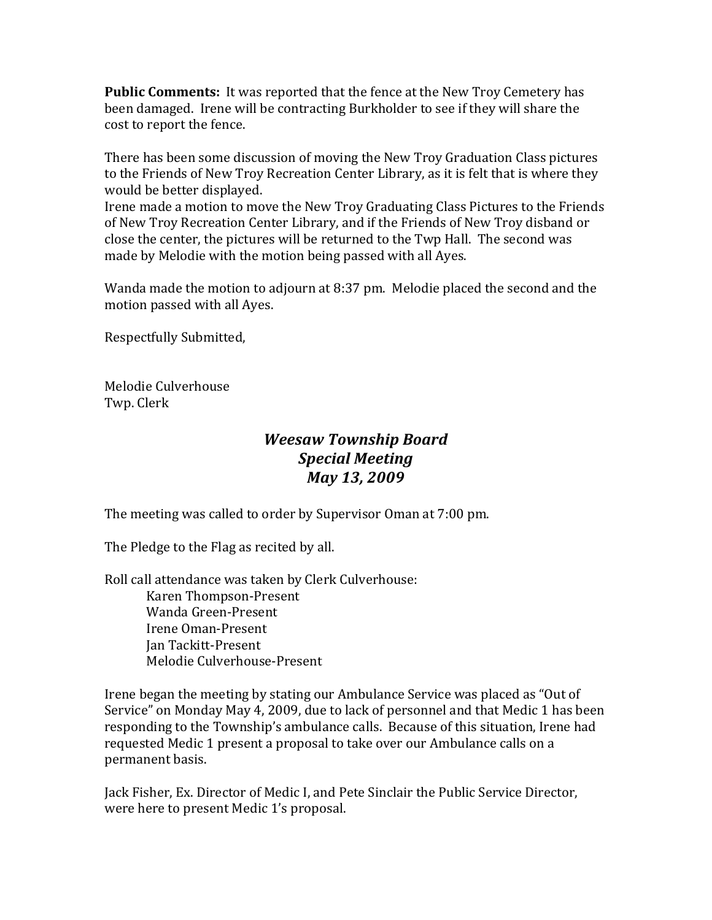**Public Comments:** It was reported that the fence at the New Troy Cemetery has been damaged. Irene will be contracting Burkholder to see if they will share the cost to report the fence.

There has been some discussion of moving the New Troy Graduation Class pictures to the Friends of New Troy Recreation Center Library, as it is felt that is where they would be better displayed.

Irene made a motion to move the New Troy Graduating Class Pictures to the Friends of New Troy Recreation Center Library, and if the Friends of New Troy disband or close the center, the pictures will be returned to the Twp Hall. The second was made by Melodie with the motion being passed with all Ayes.

Wanda made the motion to adjourn at  $8:37$  pm. Melodie placed the second and the motion passed with all Ayes.

Respectfully Submitted,

Melodie Culverhouse Twp. Clerk

# *Weesaw Township Board Special Meeting May 13, 2009*

The meeting was called to order by Supervisor Oman at 7:00 pm.

The Pledge to the Flag as recited by all.

Roll call attendance was taken by Clerk Culverhouse: Karen Thompson-Present Wanda Green-Present Irene Oman-Present Jan Tackitt-Present Melodie Culverhouse-Present

Irene began the meeting by stating our Ambulance Service was placed as "Out of Service" on Monday May 4, 2009, due to lack of personnel and that Medic 1 has been responding to the Township's ambulance calls. Because of this situation, Irene had requested Medic 1 present a proposal to take over our Ambulance calls on a permanent basis.

Jack Fisher, Ex. Director of Medic I, and Pete Sinclair the Public Service Director, were here to present Medic 1's proposal.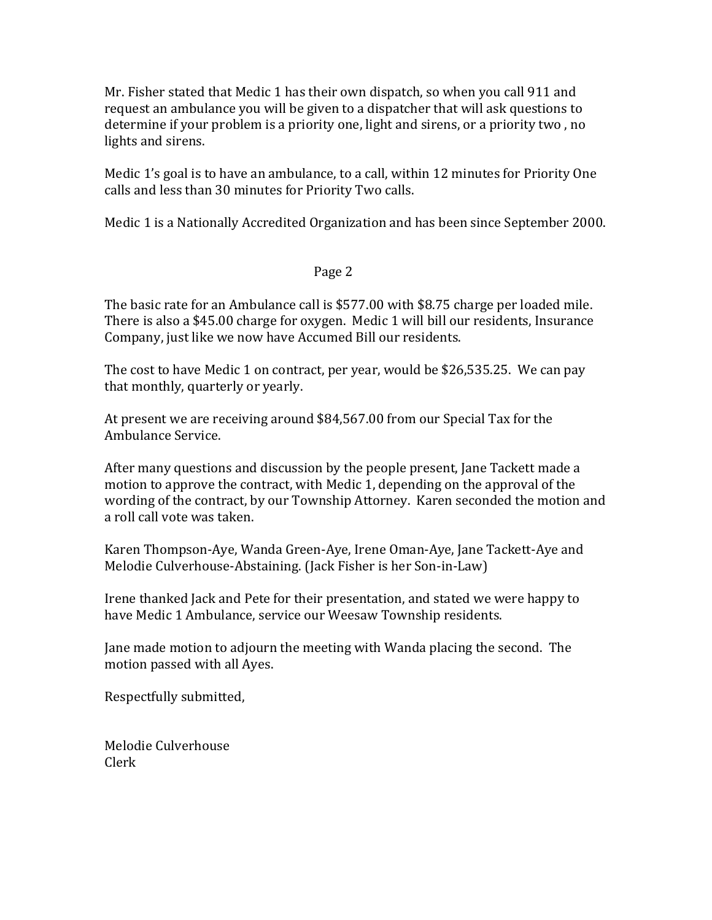Mr. Fisher stated that Medic 1 has their own dispatch, so when you call 911 and request an ambulance you will be given to a dispatcher that will ask questions to determine if your problem is a priority one, light and sirens, or a priority two, no lights and sirens.

Medic 1's goal is to have an ambulance, to a call, within 12 minutes for Priority One calls and less than 30 minutes for Priority Two calls.

Medic 1 is a Nationally Accredited Organization and has been since September 2000.

#### Page 2

The basic rate for an Ambulance call is \$577.00 with \$8.75 charge per loaded mile. There is also a \$45.00 charge for oxygen. Medic 1 will bill our residents, Insurance Company, just like we now have Accumed Bill our residents.

The cost to have Medic 1 on contract, per year, would be \$26,535.25. We can pay that monthly, quarterly or yearly.

At present we are receiving around \$84,567.00 from our Special Tax for the Ambulance Service.

After many questions and discussion by the people present, Jane Tackett made a motion to approve the contract, with Medic 1, depending on the approval of the wording of the contract, by our Township Attorney. Karen seconded the motion and a roll call vote was taken.

Karen Thompson-Aye, Wanda Green-Aye, Irene Oman-Aye, Jane Tackett-Aye and Melodie Culverhouse-Abstaining. (Jack Fisher is her Son-in-Law)

Irene thanked Jack and Pete for their presentation, and stated we were happy to have Medic 1 Ambulance, service our Weesaw Township residents.

Jane made motion to adjourn the meeting with Wanda placing the second. The motion passed with all Ayes.

Respectfully submitted,

Melodie Culverhouse Clerk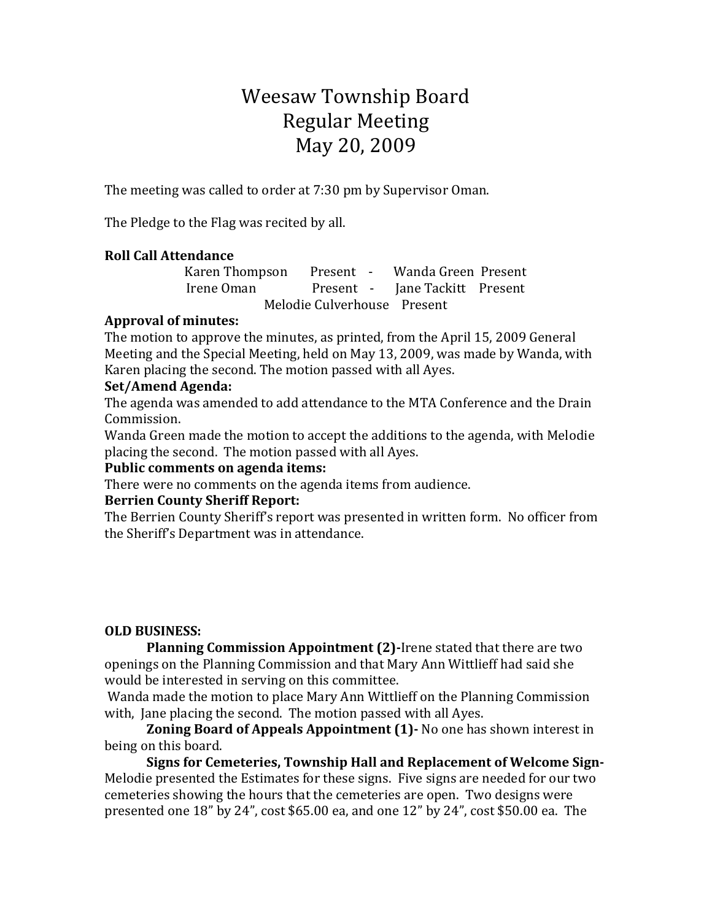# Weesaw Township Board Regular Meeting May 20, 2009

The meeting was called to order at 7:30 pm by Supervisor Oman.

The Pledge to the Flag was recited by all.

## **Roll Call Attendance**

Karen Thompson Present - Wanda Green Present Irene Oman Present - Jane Tackitt Present Melodie Culverhouse Present

## **Approval of minutes:**

The motion to approve the minutes, as printed, from the April 15, 2009 General Meeting and the Special Meeting, held on May 13, 2009, was made by Wanda, with Karen placing the second. The motion passed with all Ayes.

## **Set/Amend Agenda:**

The agenda was amended to add attendance to the MTA Conference and the Drain Commission.

Wanda Green made the motion to accept the additions to the agenda, with Melodie placing the second. The motion passed with all Ayes.

#### **Public comments on agenda items:**

There were no comments on the agenda items from audience.

## **Berrien County Sheriff Report:**

The Berrien County Sheriff's report was presented in written form. No officer from the Sheriff's Department was in attendance.

## **OLD BUSINESS:**

**Planning Commission Appointment (2)-Irene stated that there are two** openings on the Planning Commission and that Mary Ann Wittlieff had said she would be interested in serving on this committee.

Wanda made the motion to place Mary Ann Wittlieff on the Planning Commission with, Jane placing the second. The motion passed with all Ayes.

**Zoning Board of Appeals Appointment (1)-** No one has shown interest in being on this board.

Signs for Cemeteries, Township Hall and Replacement of Welcome Sign-Melodie presented the Estimates for these signs. Five signs are needed for our two cemeteries showing the hours that the cemeteries are open. Two designs were presented one  $18"$  by  $24"$ , cost \$65.00 ea, and one  $12"$  by  $24"$ , cost \$50.00 ea. The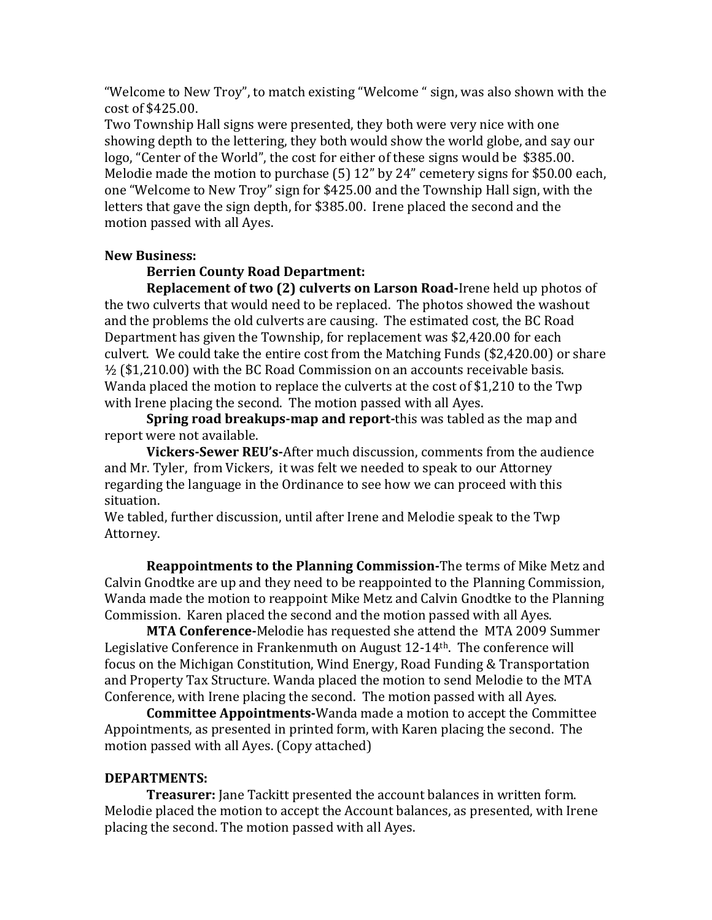"Welcome to New Troy", to match existing "Welcome " sign, was also shown with the cost of \$425.00.

Two Township Hall signs were presented, they both were very nice with one showing depth to the lettering, they both would show the world globe, and say our logo, "Center of the World", the cost for either of these signs would be \$385.00. Melodie made the motion to purchase  $(5)$  12" by 24" cemetery signs for \$50.00 each. one "Welcome to New Troy" sign for \$425.00 and the Township Hall sign, with the letters that gave the sign depth, for \$385.00. Irene placed the second and the motion passed with all Ayes.

#### **New Business:**

#### **Berrien County Road Department:**

**Replacement of two (2) culverts on Larson Road-Irene held up photos of** the two culverts that would need to be replaced. The photos showed the washout and the problems the old culverts are causing. The estimated cost, the BC Road Department has given the Township, for replacement was \$2,420.00 for each culvert. We could take the entire cost from the Matching Funds  $$2,420.00$  or share  $\frac{1}{2}$  (\$1,210.00) with the BC Road Commission on an accounts receivable basis. Wanda placed the motion to replace the culverts at the cost of \$1,210 to the Twp with Irene placing the second. The motion passed with all Ayes.

**Spring road breakups-map and report-this was tabled as the map and** report were not available.

**Vickers-Sewer REU's-After much discussion, comments from the audience** and Mr. Tyler, from Vickers, it was felt we needed to speak to our Attorney regarding the language in the Ordinance to see how we can proceed with this situation. 

We tabled, further discussion, until after Irene and Melodie speak to the Twp Attorney.

**Reappointments to the Planning Commission-The terms of Mike Metz and** Calvin Gnodtke are up and they need to be reappointed to the Planning Commission, Wanda made the motion to reappoint Mike Metz and Calvin Gnodtke to the Planning Commission. Karen placed the second and the motion passed with all Ayes.

**MTA Conference-**Melodie has requested she attend the MTA 2009 Summer Legislative Conference in Frankenmuth on August  $12\t{-}14<sup>th</sup>$ . The conference will focus on the Michigan Constitution, Wind Energy, Road Funding & Transportation and Property Tax Structure. Wanda placed the motion to send Melodie to the MTA Conference, with Irene placing the second. The motion passed with all Ayes.

**Committee Appointments-**Wanda made a motion to accept the Committee Appointments, as presented in printed form, with Karen placing the second. The motion passed with all Ayes. (Copy attached)

#### **DEPARTMENTS:**

**Treasurer:** Jane Tackitt presented the account balances in written form. Melodie placed the motion to accept the Account balances, as presented, with Irene placing the second. The motion passed with all Ayes.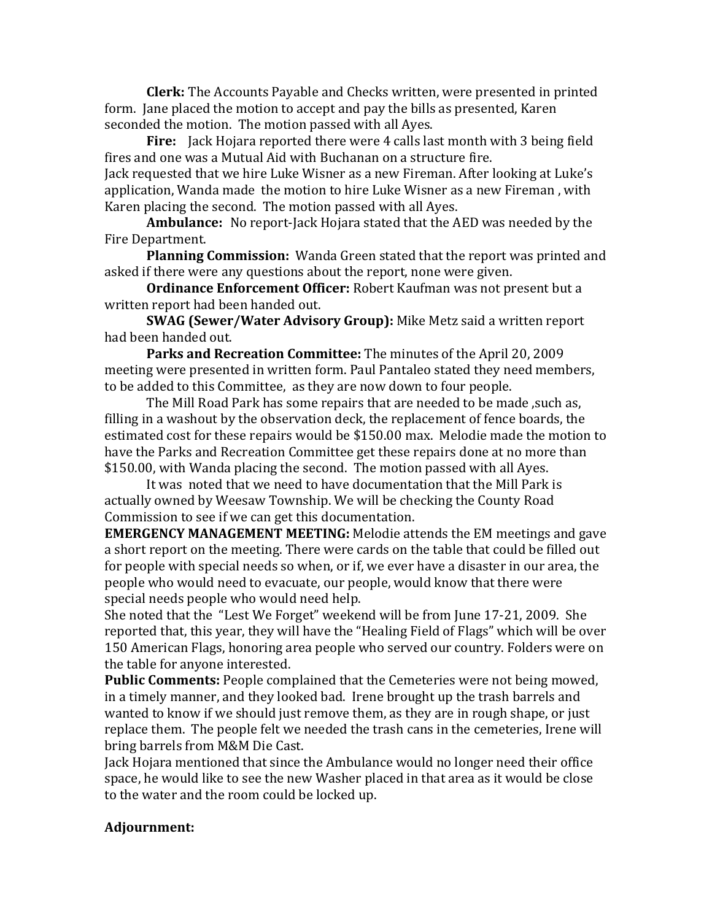**Clerk:** The Accounts Payable and Checks written, were presented in printed form. Jane placed the motion to accept and pay the bills as presented, Karen seconded the motion. The motion passed with all Ayes.

**Fire:** Jack Hojara reported there were 4 calls last month with 3 being field fires and one was a Mutual Aid with Buchanan on a structure fire. Jack requested that we hire Luke Wisner as a new Fireman. After looking at Luke's application, Wanda made the motion to hire Luke Wisner as a new Fireman, with Karen placing the second. The motion passed with all Ayes.

**Ambulance:** No report-Jack Hojara stated that the AED was needed by the Fire Department.

**Planning Commission:** Wanda Green stated that the report was printed and asked if there were any questions about the report, none were given.

**Ordinance Enforcement Officer:** Robert Kaufman was not present but a written report had been handed out.

**SWAG (Sewer/Water Advisory Group):** Mike Metz said a written report had been handed out.

**Parks and Recreation Committee:** The minutes of the April 20, 2009 meeting were presented in written form. Paul Pantaleo stated they need members, to be added to this Committee, as they are now down to four people.

The Mill Road Park has some repairs that are needed to be made, such as, filling in a washout by the observation deck, the replacement of fence boards, the estimated cost for these repairs would be \$150.00 max. Melodie made the motion to have the Parks and Recreation Committee get these repairs done at no more than \$150.00, with Wanda placing the second. The motion passed with all Ayes.

It was noted that we need to have documentation that the Mill Park is actually owned by Weesaw Township. We will be checking the County Road Commission to see if we can get this documentation.

**EMERGENCY MANAGEMENT MEETING:** Melodie attends the EM meetings and gave a short report on the meeting. There were cards on the table that could be filled out for people with special needs so when, or if, we ever have a disaster in our area, the people who would need to evacuate, our people, would know that there were special needs people who would need help.

She noted that the "Lest We Forget" weekend will be from June 17-21, 2009. She reported that, this year, they will have the "Healing Field of Flags" which will be over 150 American Flags, honoring area people who served our country. Folders were on the table for anyone interested.

**Public Comments:** People complained that the Cemeteries were not being mowed, in a timely manner, and they looked bad. Irene brought up the trash barrels and wanted to know if we should just remove them, as they are in rough shape, or just replace them. The people felt we needed the trash cans in the cemeteries, Irene will bring barrels from M&M Die Cast.

Jack Hojara mentioned that since the Ambulance would no longer need their office space, he would like to see the new Washer placed in that area as it would be close to the water and the room could be locked up.

#### **Adjournment:**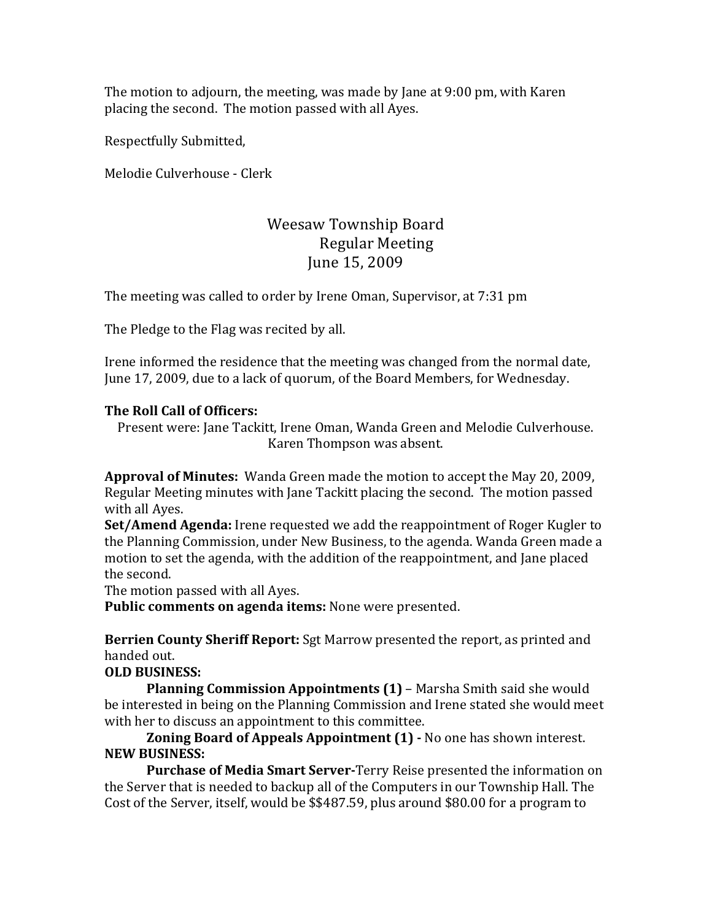The motion to adjourn, the meeting, was made by Jane at  $9:00$  pm, with Karen placing the second. The motion passed with all Ayes.

Respectfully Submitted,

Melodie Culverhouse - Clerk

# Weesaw Township Board Regular Meeting June 15, 2009

The meeting was called to order by Irene Oman, Supervisor, at 7:31 pm

The Pledge to the Flag was recited by all.

Irene informed the residence that the meeting was changed from the normal date, June 17, 2009, due to a lack of quorum, of the Board Members, for Wednesday.

## **The Roll Call of Officers:**

Present were: Jane Tackitt, Irene Oman, Wanda Green and Melodie Culverhouse. Karen Thompson was absent.

**Approval of Minutes:** Wanda Green made the motion to accept the May 20, 2009, Regular Meeting minutes with Jane Tackitt placing the second. The motion passed with all Ayes.

**Set/Amend Agenda:** Irene requested we add the reappointment of Roger Kugler to the Planning Commission, under New Business, to the agenda. Wanda Green made a motion to set the agenda, with the addition of the reappointment, and Jane placed the second.

The motion passed with all Ayes.

Public comments on agenda items: None were presented.

**Berrien County Sheriff Report:** Sgt Marrow presented the report, as printed and handed out.

#### **OLD BUSINESS:**

**Planning Commission Appointments (1)** – Marsha Smith said she would be interested in being on the Planning Commission and Irene stated she would meet with her to discuss an appointment to this committee.

**Zoning Board of Appeals Appointment (1) - No one has shown interest. NEW BUSINESS:**

**Purchase of Media Smart Server-**Terry Reise presented the information on the Server that is needed to backup all of the Computers in our Township Hall. The Cost of the Server, itself, would be \$\$487.59, plus around \$80.00 for a program to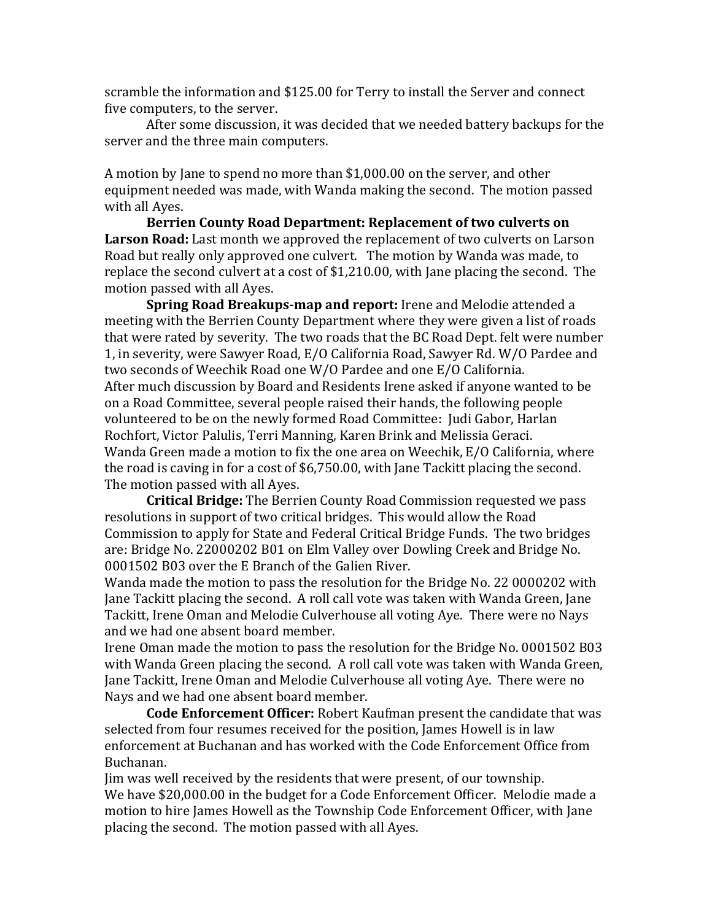scramble the information and \$125.00 for Terry to install the Server and connect five computers, to the server.

After some discussion, it was decided that we needed battery backups for the server and the three main computers.

A motion by Jane to spend no more than \$1,000.00 on the server, and other equipment needed was made, with Wanda making the second. The motion passed with all Ayes.

Berrien County Road Department: Replacement of two culverts on **Larson Road:** Last month we approved the replacement of two culverts on Larson Road but really only approved one culvert. The motion by Wanda was made, to replace the second culvert at a cost of  $$1,210.00$ , with Jane placing the second. The motion passed with all Ayes.

**Spring Road Breakups-map and report:** Irene and Melodie attended a meeting with the Berrien County Department where they were given a list of roads that were rated by severity. The two roads that the BC Road Dept. felt were number 1, in severity, were Sawyer Road, E/O California Road, Sawyer Rd. W/O Pardee and two seconds of Weechik Road one W/O Pardee and one E/O California. After much discussion by Board and Residents Irene asked if anyone wanted to be on a Road Committee, several people raised their hands, the following people volunteered to be on the newly formed Road Committee: Judi Gabor, Harlan Rochfort, Victor Palulis, Terri Manning, Karen Brink and Melissia Geraci. Wanda Green made a motion to fix the one area on Weechik,  $E/O$  California, where the road is caving in for a cost of  $$6,750.00$ , with Jane Tackitt placing the second. The motion passed with all Ayes.

**Critical Bridge:** The Berrien County Road Commission requested we pass resolutions in support of two critical bridges. This would allow the Road Commission to apply for State and Federal Critical Bridge Funds. The two bridges are: Bridge No. 22000202 B01 on Elm Valley over Dowling Creek and Bridge No. 0001502 B03 over the E Branch of the Galien River.

Wanda made the motion to pass the resolution for the Bridge No. 22 0000202 with Jane Tackitt placing the second. A roll call vote was taken with Wanda Green, Jane Tackitt, Irene Oman and Melodie Culverhouse all voting Aye. There were no Nays and we had one absent board member.

Irene Oman made the motion to pass the resolution for the Bridge No. 0001502 B03 with Wanda Green placing the second. A roll call vote was taken with Wanda Green, Jane Tackitt, Irene Oman and Melodie Culverhouse all voting Aye. There were no Nays and we had one absent board member.

**Code Enforcement Officer:** Robert Kaufman present the candidate that was selected from four resumes received for the position, James Howell is in law enforcement at Buchanan and has worked with the Code Enforcement Office from Buchanan. 

Jim was well received by the residents that were present, of our township. We have \$20,000.00 in the budget for a Code Enforcement Officer. Melodie made a motion to hire James Howell as the Township Code Enforcement Officer, with Jane placing the second. The motion passed with all Ayes.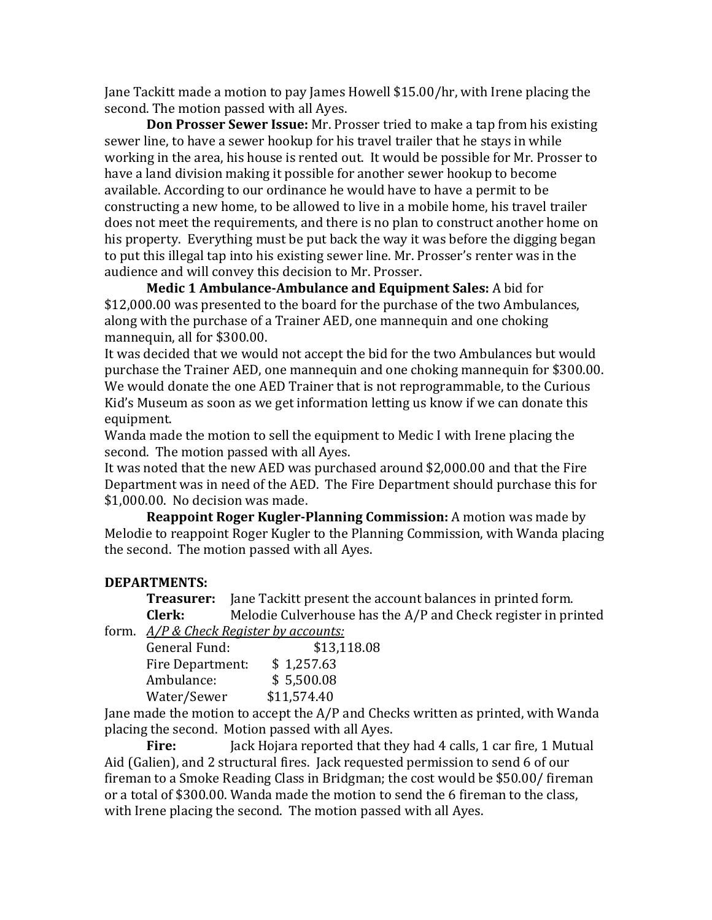Jane Tackitt made a motion to pay James Howell  $$15.00/hr$ , with Irene placing the second. The motion passed with all Ayes.

**Don Prosser Sewer Issue:** Mr. Prosser tried to make a tap from his existing sewer line, to have a sewer hookup for his travel trailer that he stays in while working in the area, his house is rented out. It would be possible for Mr. Prosser to have a land division making it possible for another sewer hookup to become available. According to our ordinance he would have to have a permit to be constructing a new home, to be allowed to live in a mobile home, his travel trailer does not meet the requirements, and there is no plan to construct another home on his property. Everything must be put back the way it was before the digging began to put this illegal tap into his existing sewer line. Mr. Prosser's renter was in the audience and will convey this decision to Mr. Prosser.

**Medic 1 Ambulance-Ambulance and Equipment Sales:** A bid for \$12,000.00 was presented to the board for the purchase of the two Ambulances, along with the purchase of a Trainer AED, one mannequin and one choking mannequin, all for \$300.00.

It was decided that we would not accept the bid for the two Ambulances but would purchase the Trainer AED, one mannequin and one choking mannequin for \$300.00. We would donate the one AED Trainer that is not reprogrammable, to the Curious Kid's Museum as soon as we get information letting us know if we can donate this equipment.

Wanda made the motion to sell the equipment to Medic I with Irene placing the second. The motion passed with all Ayes.

It was noted that the new AED was purchased around \$2,000.00 and that the Fire Department was in need of the AED. The Fire Department should purchase this for \$1,000.00. No decision was made.

**Reappoint Roger Kugler-Planning Commission:** A motion was made by Melodie to reappoint Roger Kugler to the Planning Commission, with Wanda placing the second. The motion passed with all Ayes.

#### **DEPARTMENTS:**

**Treasurer:** Jane Tackitt present the account balances in printed form. **Clerk:** Melodie Culverhouse has the A/P and Check register in printed form. *A/P & Check Register by accounts:* 

| General Fund:    | \$13,118.08 |
|------------------|-------------|
| Fire Department: | \$1,257.63  |
| Ambulance:       | \$5,500.08  |
| Water/Sewer      | \$11,574.40 |

Jane made the motion to accept the  $A/P$  and Checks written as printed, with Wanda placing the second. Motion passed with all Ayes.

**Fire:** Jack Hojara reported that they had 4 calls, 1 car fire, 1 Mutual Aid (Galien), and 2 structural fires. Jack requested permission to send 6 of our fireman to a Smoke Reading Class in Bridgman; the cost would be \$50.00/ fireman or a total of \$300.00. Wanda made the motion to send the 6 fireman to the class, with Irene placing the second. The motion passed with all Ayes.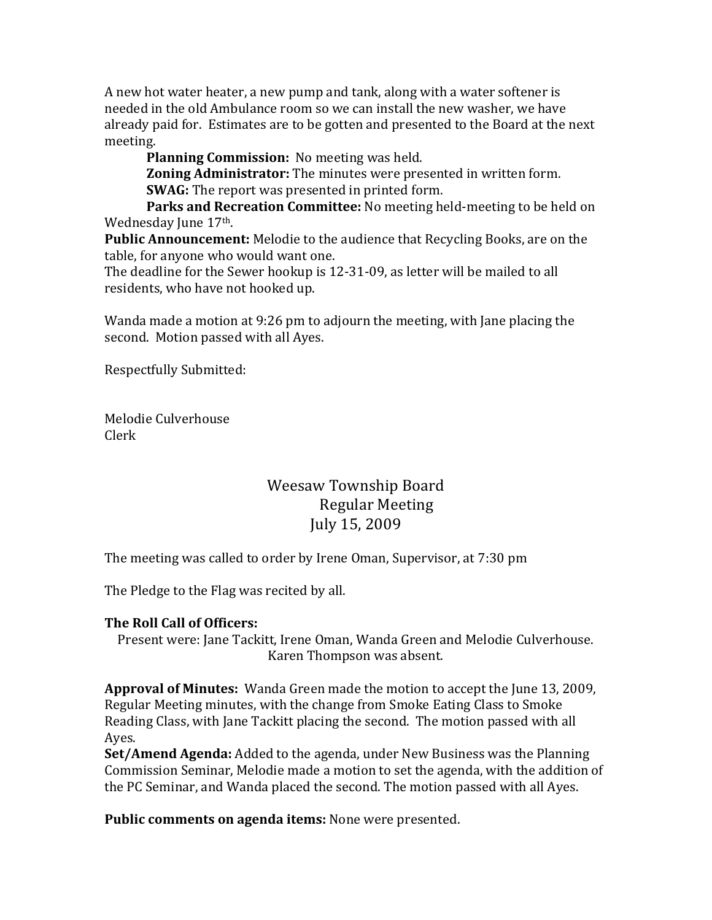A new hot water heater, a new pump and tank, along with a water softener is needed in the old Ambulance room so we can install the new washer, we have already paid for. Estimates are to be gotten and presented to the Board at the next meeting.

**Planning Commission:** No meeting was held.

**Zoning Administrator:** The minutes were presented in written form. **SWAG:** The report was presented in printed form.

**Parks and Recreation Committee:** No meeting held-meeting to be held on Wednesday June 17<sup>th</sup>.

**Public Announcement:** Melodie to the audience that Recycling Books, are on the table, for anyone who would want one.

The deadline for the Sewer hookup is 12-31-09, as letter will be mailed to all residents, who have not hooked up.

Wanda made a motion at 9:26 pm to adjourn the meeting, with Jane placing the second. Motion passed with all Ayes.

Respectfully Submitted:

Melodie Culverhouse Clerk

# Weesaw Township Board Regular Meeting July 15, 2009

The meeting was called to order by Irene Oman, Supervisor, at 7:30 pm

The Pledge to the Flag was recited by all.

## **The Roll Call of Officers:**

Present were: Jane Tackitt, Irene Oman, Wanda Green and Melodie Culverhouse. Karen Thompson was absent.

**Approval of Minutes:** Wanda Green made the motion to accept the June 13, 2009, Regular Meeting minutes, with the change from Smoke Eating Class to Smoke Reading Class, with Jane Tackitt placing the second. The motion passed with all Ayes.

**Set/Amend Agenda:** Added to the agenda, under New Business was the Planning Commission Seminar, Melodie made a motion to set the agenda, with the addition of the PC Seminar, and Wanda placed the second. The motion passed with all Ayes.

**Public comments on agenda items:** None were presented.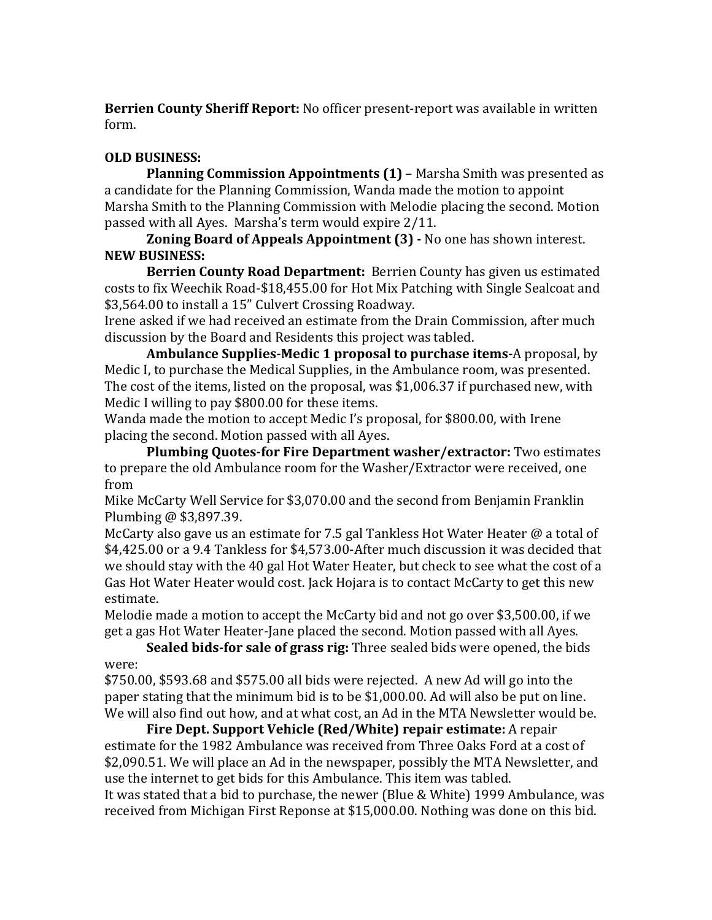**Berrien County Sheriff Report:** No officer present-report was available in written form.

## **OLD BUSINESS:**

**Planning Commission Appointments (1)** – Marsha Smith was presented as a candidate for the Planning Commission, Wanda made the motion to appoint Marsha Smith to the Planning Commission with Melodie placing the second. Motion passed with all Ayes. Marsha's term would expire 2/11.

**Zoning Board of Appeals Appointment (3) - No one has shown interest. NEW BUSINESS:**

**Berrien County Road Department:** Berrien County has given us estimated costs to fix Weechik Road-\$18,455.00 for Hot Mix Patching with Single Sealcoat and \$3,564.00 to install a 15" Culvert Crossing Roadway.

Irene asked if we had received an estimate from the Drain Commission, after much discussion by the Board and Residents this project was tabled.

**Ambulance Supplies-Medic 1 proposal to purchase items-A** proposal, by Medic I, to purchase the Medical Supplies, in the Ambulance room, was presented. The cost of the items, listed on the proposal, was \$1,006.37 if purchased new, with Medic I willing to pay \$800.00 for these items.

Wanda made the motion to accept Medic I's proposal, for \$800.00, with Irene placing the second. Motion passed with all Ayes.

**Plumbing Quotes-for Fire Department washer/extractor:** Two estimates to prepare the old Ambulance room for the Washer/Extractor were received, one from

Mike McCarty Well Service for \$3,070.00 and the second from Benjamin Franklin Plumbing  $\omega$  \$3,897.39.

McCarty also gave us an estimate for 7.5 gal Tankless Hot Water Heater  $\omega$  a total of \$4,425.00 or a 9.4 Tankless for \$4,573.00-After much discussion it was decided that we should stay with the 40 gal Hot Water Heater, but check to see what the cost of a Gas Hot Water Heater would cost. Jack Hojara is to contact McCarty to get this new estimate.

Melodie made a motion to accept the McCarty bid and not go over \$3,500.00, if we get a gas Hot Water Heater-Jane placed the second. Motion passed with all Ayes.

**Sealed bids-for sale of grass rig:** Three sealed bids were opened, the bids were:

 $$750.00$ ,  $$593.68$  and  $$575.00$  all bids were rejected. A new Ad will go into the paper stating that the minimum bid is to be \$1,000.00. Ad will also be put on line. We will also find out how, and at what cost, an Ad in the MTA Newsletter would be.

**Fire Dept. Support Vehicle (Red/White) repair estimate:** A repair estimate for the 1982 Ambulance was received from Three Oaks Ford at a cost of \$2,090.51. We will place an Ad in the newspaper, possibly the MTA Newsletter, and use the internet to get bids for this Ambulance. This item was tabled.

It was stated that a bid to purchase, the newer (Blue & White) 1999 Ambulance, was received from Michigan First Reponse at \$15,000.00. Nothing was done on this bid.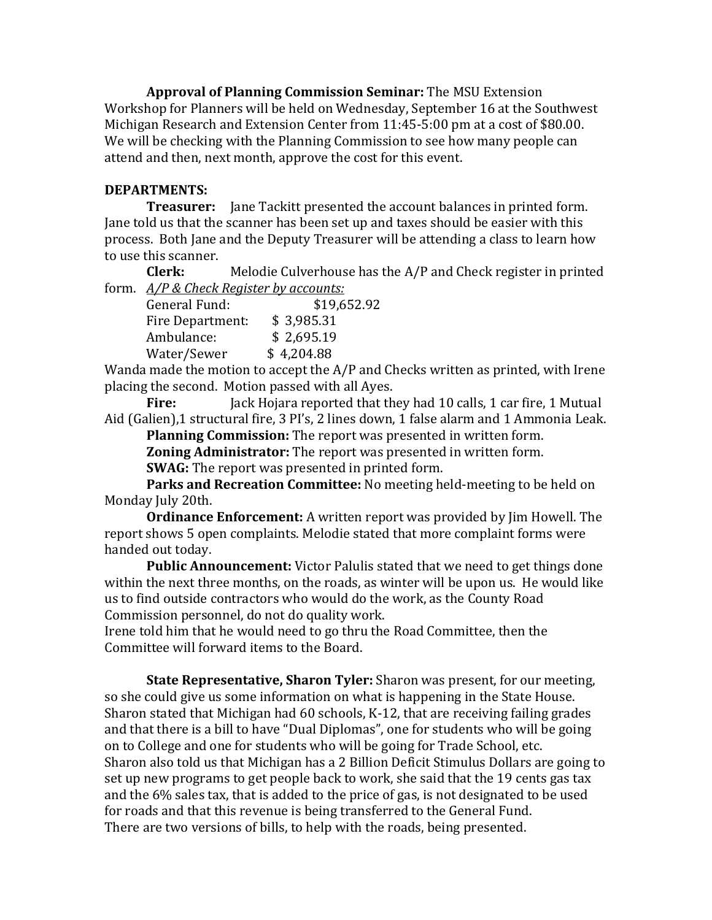**Approval of Planning Commission Seminar:** The MSU Extension Workshop for Planners will be held on Wednesday, September 16 at the Southwest Michigan Research and Extension Center from 11:45-5:00 pm at a cost of \$80.00. We will be checking with the Planning Commission to see how many people can attend and then, next month, approve the cost for this event.

#### **DEPARTMENTS:**

**Treasurer:** Jane Tackitt presented the account balances in printed form. Jane told us that the scanner has been set up and taxes should be easier with this process. Both Jane and the Deputy Treasurer will be attending a class to learn how to use this scanner.

**Clerk:** Melodie Culverhouse has the A/P and Check register in printed form. *A/P & Check Register by accounts:* 

| \$19,652.92 |
|-------------|
|             |
|             |
|             |
|             |

Wanda made the motion to accept the  $A/P$  and Checks written as printed, with Irene placing the second. Motion passed with all Ayes.

**Fire:** Jack Hojara reported that they had 10 calls, 1 car fire, 1 Mutual Aid (Galien),1 structural fire, 3 PI's, 2 lines down, 1 false alarm and 1 Ammonia Leak. Planning Commission: The report was presented in written form.

**Zoning Administrator:** The report was presented in written form.

**SWAG:** The report was presented in printed form.

**Parks and Recreation Committee:** No meeting held-meeting to be held on Monday July 20th.

**Ordinance Enforcement:** A written report was provided by Jim Howell. The report shows 5 open complaints. Melodie stated that more complaint forms were handed out today.

**Public Announcement:** Victor Palulis stated that we need to get things done within the next three months, on the roads, as winter will be upon us. He would like us to find outside contractors who would do the work, as the County Road Commission personnel, do not do quality work.

Irene told him that he would need to go thru the Road Committee, then the Committee will forward items to the Board.

**State Representative, Sharon Tyler:** Sharon was present, for our meeting, so she could give us some information on what is happening in the State House. Sharon stated that Michigan had  $60$  schools, K-12, that are receiving failing grades and that there is a bill to have "Dual Diplomas", one for students who will be going on to College and one for students who will be going for Trade School, etc. Sharon also told us that Michigan has a 2 Billion Deficit Stimulus Dollars are going to set up new programs to get people back to work, she said that the 19 cents gas tax and the  $6\%$  sales tax, that is added to the price of gas, is not designated to be used for roads and that this revenue is being transferred to the General Fund. There are two versions of bills, to help with the roads, being presented.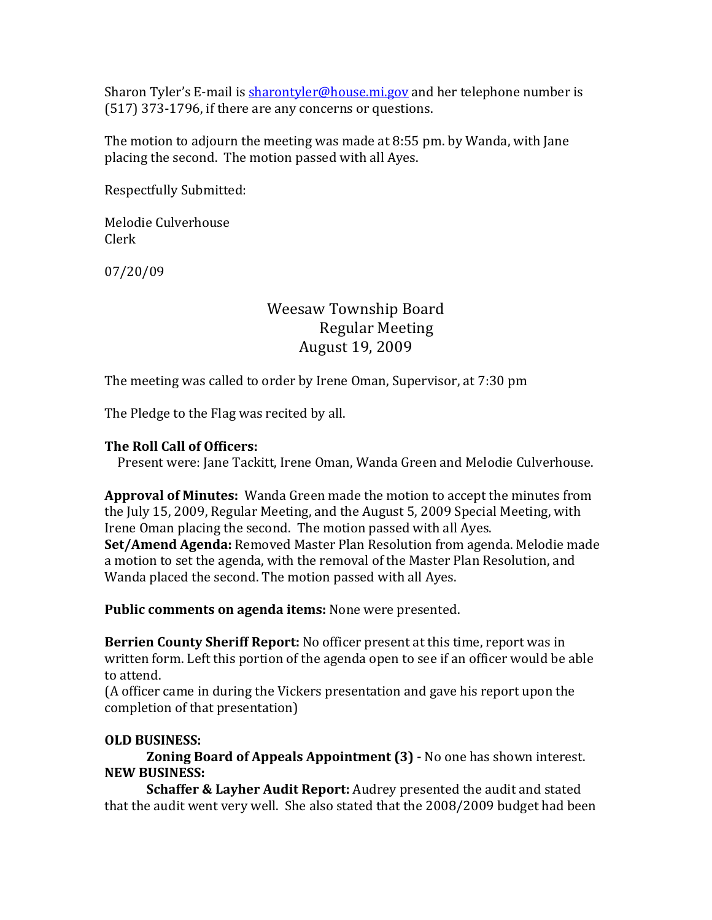Sharon Tyler's E-mail is sharontyler@house.mi.gov and her telephone number is  $(517)$  373-1796, if there are any concerns or questions.

The motion to adjourn the meeting was made at  $8:55$  pm. by Wanda, with Jane placing the second. The motion passed with all Ayes.

Respectfully Submitted:

Melodie Culverhouse Clerk

07/20/09

## Weesaw Township Board Regular Meeting August 19, 2009

The meeting was called to order by Irene Oman, Supervisor, at 7:30 pm

The Pledge to the Flag was recited by all.

#### **The Roll Call of Officers:**

Present were: Jane Tackitt, Irene Oman, Wanda Green and Melodie Culverhouse.

**Approval of Minutes:** Wanda Green made the motion to accept the minutes from the July 15, 2009, Regular Meeting, and the August 5, 2009 Special Meeting, with Irene Oman placing the second. The motion passed with all Ayes. **Set/Amend Agenda:** Removed Master Plan Resolution from agenda. Melodie made a motion to set the agenda, with the removal of the Master Plan Resolution, and Wanda placed the second. The motion passed with all Ayes.

**Public comments on agenda items:** None were presented.

**Berrien County Sheriff Report:** No officer present at this time, report was in written form. Left this portion of the agenda open to see if an officer would be able to attend.

(A officer came in during the Vickers presentation and gave his report upon the completion of that presentation)

#### **OLD BUSINESS:**

**Zoning Board of Appeals Appointment (3) - No one has shown interest. NEW BUSINESS:**

**Schaffer & Layher Audit Report:** Audrey presented the audit and stated that the audit went very well. She also stated that the 2008/2009 budget had been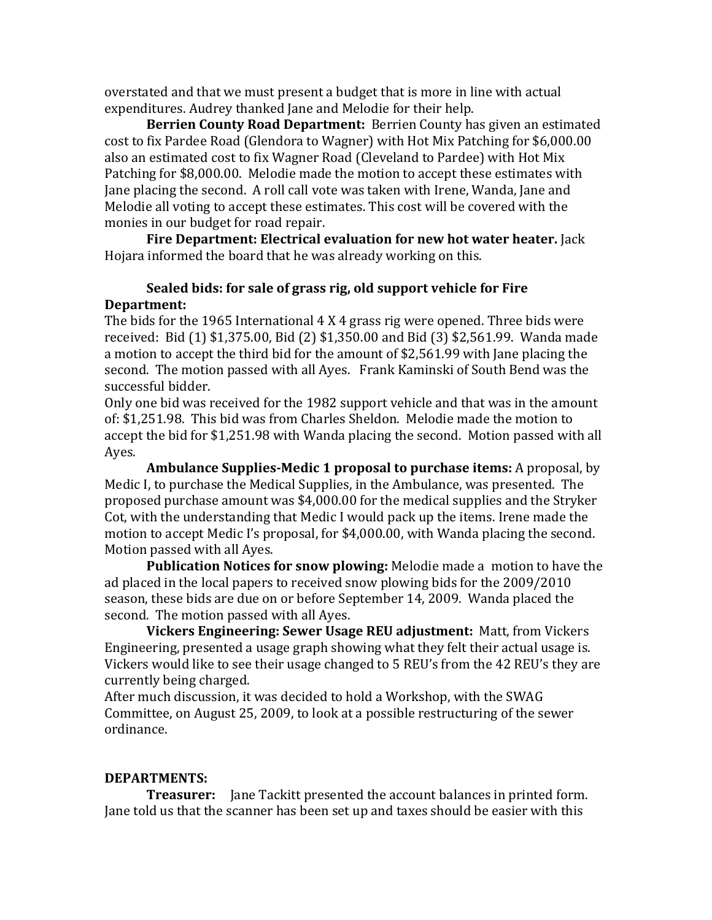overstated and that we must present a budget that is more in line with actual expenditures. Audrey thanked Jane and Melodie for their help.

**Berrien County Road Department:** Berrien County has given an estimated cost to fix Pardee Road (Glendora to Wagner) with Hot Mix Patching for \$6,000.00 also an estimated cost to fix Wagner Road (Cleveland to Pardee) with Hot Mix Patching for \$8,000.00. Melodie made the motion to accept these estimates with Jane placing the second. A roll call vote was taken with Irene, Wanda, Jane and Melodie all voting to accept these estimates. This cost will be covered with the monies in our budget for road repair.

**Fire Department: Electrical evaluation for new hot water heater.** Jack Hojara informed the board that he was already working on this.

## **Sealed bids: for sale of grass rig, old support vehicle for Fire Department:**

The bids for the 1965 International  $4 \text{ X } 4$  grass rig were opened. Three bids were received: Bid (1) \$1,375.00, Bid (2) \$1,350.00 and Bid (3) \$2,561.99. Wanda made a motion to accept the third bid for the amount of \$2,561.99 with Jane placing the second. The motion passed with all Ayes. Frank Kaminski of South Bend was the successful bidder.

Only one bid was received for the 1982 support vehicle and that was in the amount of: \$1,251.98. This bid was from Charles Sheldon. Melodie made the motion to accept the bid for \$1,251.98 with Wanda placing the second. Motion passed with all Ayes.

**Ambulance Supplies-Medic 1 proposal to purchase items:** A proposal, by Medic I, to purchase the Medical Supplies, in the Ambulance, was presented. The proposed purchase amount was \$4,000.00 for the medical supplies and the Stryker Cot, with the understanding that Medic I would pack up the items. Irene made the motion to accept Medic I's proposal, for \$4,000.00, with Wanda placing the second. Motion passed with all Ayes.

**Publication Notices for snow plowing:** Melodie made a motion to have the ad placed in the local papers to received snow plowing bids for the 2009/2010 season, these bids are due on or before September 14, 2009. Wanda placed the second. The motion passed with all Ayes.

**Vickers Engineering: Sewer Usage REU adjustment:** Matt, from Vickers Engineering, presented a usage graph showing what they felt their actual usage is. Vickers would like to see their usage changed to 5 REU's from the 42 REU's they are currently being charged.

After much discussion, it was decided to hold a Workshop, with the SWAG Committee, on August 25, 2009, to look at a possible restructuring of the sewer ordinance. 

#### **DEPARTMENTS:**

**Treasurer:** Jane Tackitt presented the account balances in printed form. Jane told us that the scanner has been set up and taxes should be easier with this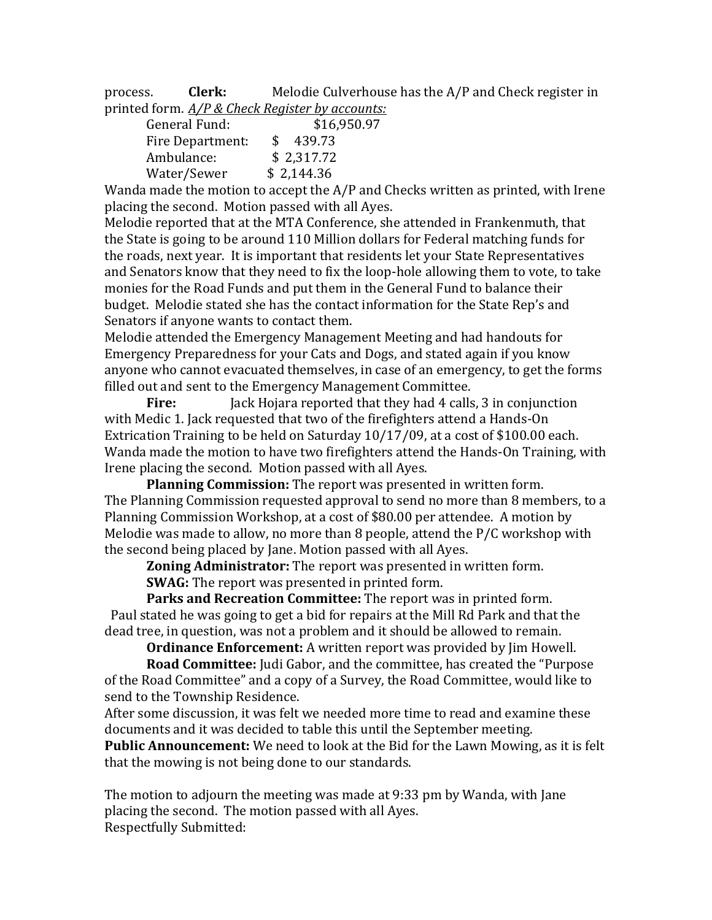process. **Clerk:** Melodie Culverhouse has the A/P and Check register in printed form.  $A/P$  & Check Register by accounts:

| General Fund:    | \$16,950.97               |
|------------------|---------------------------|
| Fire Department: | 439.73<br>$\mathcal{S}^-$ |
| Ambulance:       | \$2,317.72                |
| Water/Sewer      | \$2,144.36                |

Wanda made the motion to accept the  $A/P$  and Checks written as printed, with Irene placing the second. Motion passed with all Ayes.

Melodie reported that at the MTA Conference, she attended in Frankenmuth, that the State is going to be around 110 Million dollars for Federal matching funds for the roads, next year. It is important that residents let your State Representatives and Senators know that they need to fix the loop-hole allowing them to vote, to take monies for the Road Funds and put them in the General Fund to balance their budget. Melodie stated she has the contact information for the State Rep's and Senators if anyone wants to contact them.

Melodie attended the Emergency Management Meeting and had handouts for Emergency Preparedness for your Cats and Dogs, and stated again if you know anyone who cannot evacuated themselves, in case of an emergency, to get the forms filled out and sent to the Emergency Management Committee.

**Fire:** Jack Hojara reported that they had 4 calls, 3 in conjunction with Medic 1. Jack requested that two of the firefighters attend a Hands-On Extrication Training to be held on Saturday  $10/17/09$ , at a cost of \$100.00 each. Wanda made the motion to have two firefighters attend the Hands-On Training, with Irene placing the second. Motion passed with all Ayes.

**Planning Commission:** The report was presented in written form. The Planning Commission requested approval to send no more than 8 members, to a Planning Commission Workshop, at a cost of \$80.00 per attendee. A motion by Melodie was made to allow, no more than 8 people, attend the  $P/C$  workshop with the second being placed by Jane. Motion passed with all Ayes.

**Zoning Administrator:** The report was presented in written form.

**SWAG:** The report was presented in printed form.

Parks and Recreation Committee: The report was in printed form. Paul stated he was going to get a bid for repairs at the Mill Rd Park and that the dead tree, in question, was not a problem and it should be allowed to remain.

**Ordinance Enforcement:** A written report was provided by Jim Howell.

**Road Committee:** Judi Gabor, and the committee, has created the "Purpose of the Road Committee" and a copy of a Survey, the Road Committee, would like to send to the Township Residence.

After some discussion, it was felt we needed more time to read and examine these documents and it was decided to table this until the September meeting.

**Public Announcement:** We need to look at the Bid for the Lawn Mowing, as it is felt that the mowing is not being done to our standards.

The motion to adjourn the meeting was made at 9:33 pm by Wanda, with Jane placing the second. The motion passed with all Ayes. Respectfully Submitted: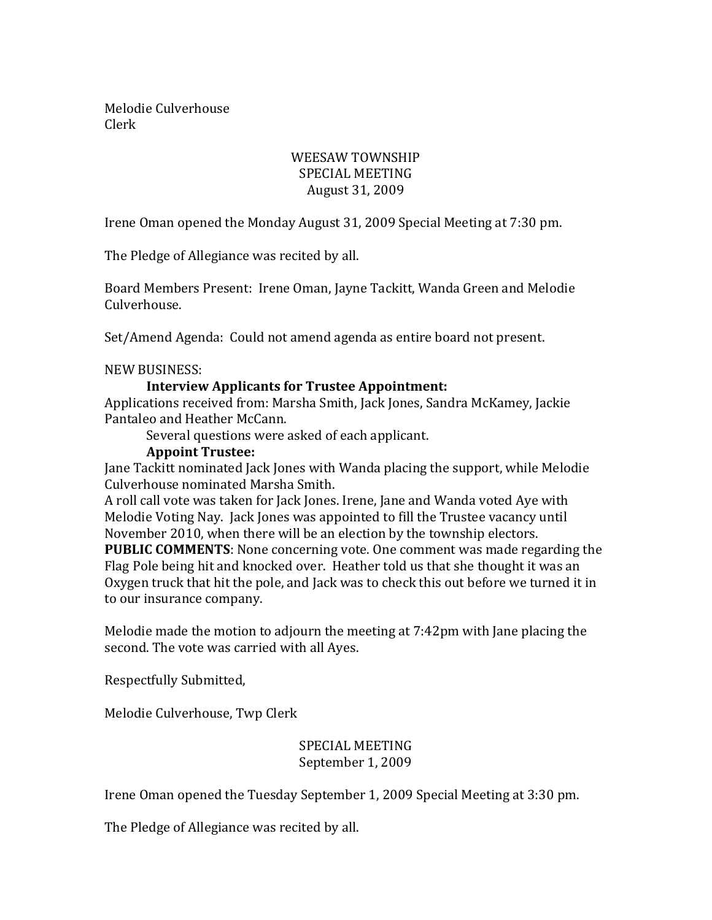Melodie Culverhouse Clerk

## WEESAW TOWNSHIP SPECIAL MEETING August 31, 2009

Irene Oman opened the Monday August 31, 2009 Special Meeting at 7:30 pm.

The Pledge of Allegiance was recited by all.

Board Members Present: Irene Oman, Jayne Tackitt, Wanda Green and Melodie Culverhouse.

Set/Amend Agenda: Could not amend agenda as entire board not present.

NEW BUSINESS:

#### **Interview Applicants for Trustee Appointment:**

Applications received from: Marsha Smith, Jack Jones, Sandra McKamey, Jackie Pantaleo and Heather McCann.

Several questions were asked of each applicant.

#### **Appoint Trustee:**

Jane Tackitt nominated Jack Jones with Wanda placing the support, while Melodie Culverhouse nominated Marsha Smith.

A roll call vote was taken for Jack Jones. Irene, Jane and Wanda voted Aye with Melodie Voting Nay. Jack Jones was appointed to fill the Trustee vacancy until November 2010, when there will be an election by the township electors. **PUBLIC COMMENTS:** None concerning vote. One comment was made regarding the

Flag Pole being hit and knocked over. Heather told us that she thought it was an Oxygen truck that hit the pole, and lack was to check this out before we turned it in to our insurance company.

Melodie made the motion to adjourn the meeting at 7:42pm with Jane placing the second. The vote was carried with all Ayes.

Respectfully Submitted,

Melodie Culverhouse, Twp Clerk

#### SPECIAL MEETING September 1, 2009

Irene Oman opened the Tuesday September 1, 2009 Special Meeting at 3:30 pm.

The Pledge of Allegiance was recited by all.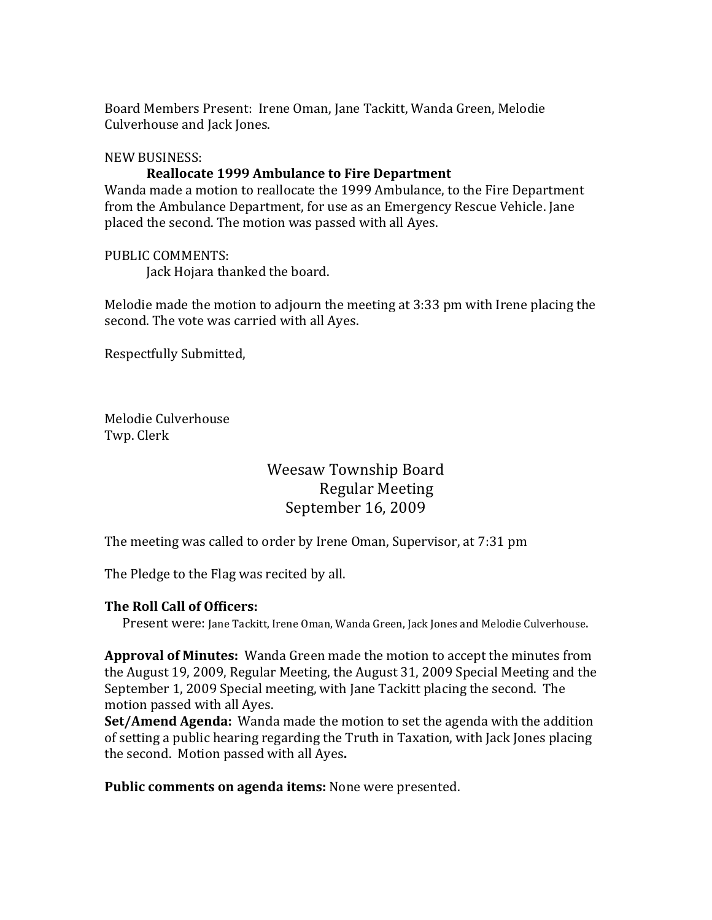Board Members Present: Irene Oman, Jane Tackitt, Wanda Green, Melodie Culverhouse and Jack Jones.

#### NEW BUSINESS:

#### **Reallocate 1999 Ambulance to Fire Department**

Wanda made a motion to reallocate the 1999 Ambulance, to the Fire Department from the Ambulance Department, for use as an Emergency Rescue Vehicle. Jane placed the second. The motion was passed with all Ayes.

#### PUBLIC COMMENTS:

Jack Hojara thanked the board.

Melodie made the motion to adjourn the meeting at 3:33 pm with Irene placing the second. The vote was carried with all Ayes.

Respectfully Submitted,

Melodie Culverhouse Twp. Clerk

## Weesaw Township Board Regular Meeting September 16, 2009

The meeting was called to order by Irene Oman, Supervisor, at 7:31 pm

The Pledge to the Flag was recited by all.

#### **The Roll Call of Officers:**

Present were: Jane Tackitt, Irene Oman, Wanda Green, Jack Jones and Melodie Culverhouse.

**Approval of Minutes:** Wanda Green made the motion to accept the minutes from the August 19, 2009, Regular Meeting, the August 31, 2009 Special Meeting and the September 1, 2009 Special meeting, with Jane Tackitt placing the second. The motion passed with all Ayes.

**Set/Amend Agenda:** Wanda made the motion to set the agenda with the addition of setting a public hearing regarding the Truth in Taxation, with Jack Jones placing the second. Motion passed with all Ayes.

**Public comments on agenda items:** None were presented.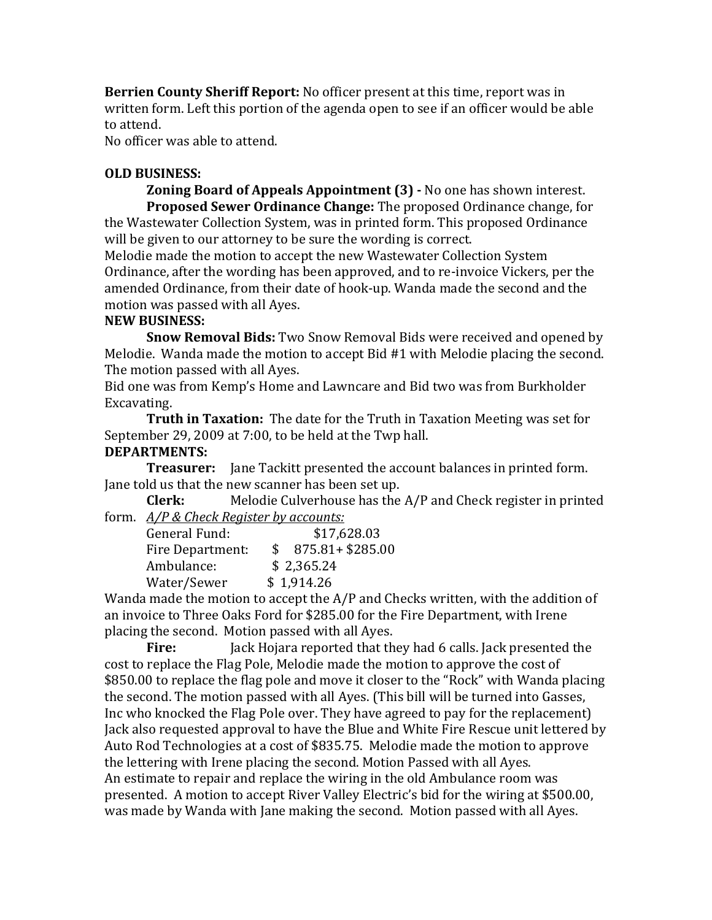**Berrien County Sheriff Report:** No officer present at this time, report was in written form. Left this portion of the agenda open to see if an officer would be able to attend.

No officer was able to attend.

#### **OLD BUSINESS:**

**Zoning Board of Appeals Appointment (3) - No one has shown interest. Proposed Sewer Ordinance Change:** The proposed Ordinance change, for the Wastewater Collection System, was in printed form. This proposed Ordinance will be given to our attorney to be sure the wording is correct.

Melodie made the motion to accept the new Wastewater Collection System Ordinance, after the wording has been approved, and to re-invoice Vickers, per the amended Ordinance, from their date of hook-up. Wanda made the second and the motion was passed with all Ayes.

## **NEW BUSINESS:**

**Snow Removal Bids:** Two Snow Removal Bids were received and opened by Melodie. Wanda made the motion to accept  $\text{Bid } #1$  with Melodie placing the second. The motion passed with all Ayes.

Bid one was from Kemp's Home and Lawncare and Bid two was from Burkholder Excavating.

**Truth in Taxation:** The date for the Truth in Taxation Meeting was set for September 29, 2009 at 7:00, to be held at the Twp hall.

## **DEPARTMENTS:**

**Treasurer:** Jane Tackitt presented the account balances in printed form. Jane told us that the new scanner has been set up.

**Clerk:** Melodie Culverhouse has the A/P and Check register in printed form. *A/P & Check Reaister by accounts:* 

| General Fund:    | \$17,628.03        |
|------------------|--------------------|
| Fire Department: | $875.81 + $285.00$ |
| Ambulance:       | \$2,365.24         |
| Water/Sewer      | \$1,914.26         |

Wanda made the motion to accept the  $A/P$  and Checks written, with the addition of an invoice to Three Oaks Ford for \$285.00 for the Fire Department, with Irene placing the second. Motion passed with all Ayes.

**Fire:** Jack Hojara reported that they had 6 calls. Jack presented the cost to replace the Flag Pole, Melodie made the motion to approve the cost of \$850.00 to replace the flag pole and move it closer to the "Rock" with Wanda placing the second. The motion passed with all Ayes. (This bill will be turned into Gasses, Inc who knocked the Flag Pole over. They have agreed to pay for the replacement) Jack also requested approval to have the Blue and White Fire Rescue unit lettered by Auto Rod Technologies at a cost of \$835.75. Melodie made the motion to approve the lettering with Irene placing the second. Motion Passed with all Ayes. An estimate to repair and replace the wiring in the old Ambulance room was presented. A motion to accept River Valley Electric's bid for the wiring at \$500.00, was made by Wanda with Jane making the second. Motion passed with all Ayes.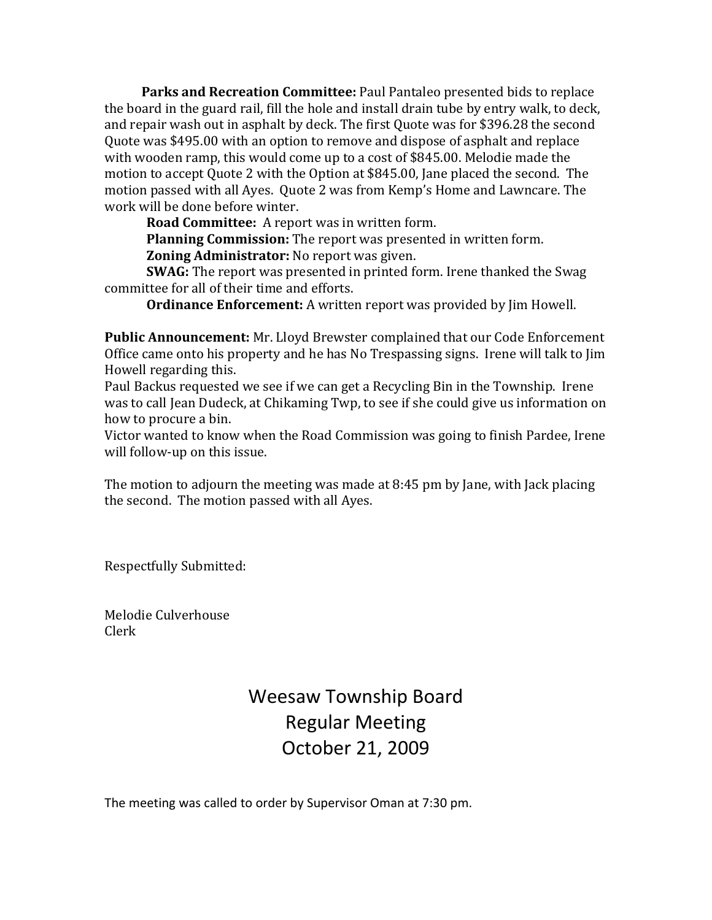**Parks and Recreation Committee:** Paul Pantaleo presented bids to replace the board in the guard rail, fill the hole and install drain tube by entry walk, to deck, and repair wash out in asphalt by deck. The first Ouote was for \$396.28 the second Quote was \$495.00 with an option to remove and dispose of asphalt and replace with wooden ramp, this would come up to a cost of  $$845.00$ . Melodie made the motion to accept Quote 2 with the Option at \$845.00, Jane placed the second. The motion passed with all Ayes. Quote 2 was from Kemp's Home and Lawncare. The work will be done before winter.

**Road Committee:** A report was in written form.

**Planning Commission:** The report was presented in written form. **Zoning Administrator:** No report was given.

**SWAG:** The report was presented in printed form. Irene thanked the Swag committee for all of their time and efforts.

**Ordinance Enforcement:** A written report was provided by [im Howell.

**Public Announcement:** Mr. Lloyd Brewster complained that our Code Enforcement Office came onto his property and he has No Trespassing signs. Irene will talk to Jim Howell regarding this.

Paul Backus requested we see if we can get a Recycling Bin in the Township. Irene was to call Jean Dudeck, at Chikaming Twp, to see if she could give us information on how to procure a bin.

Victor wanted to know when the Road Commission was going to finish Pardee, Irene will follow-up on this issue.

The motion to adjourn the meeting was made at  $8:45$  pm by Jane, with Jack placing the second. The motion passed with all Ayes.

Respectfully Submitted:

Melodie Culverhouse Clerk

# Weesaw Township Board Regular Meeting October 21, 2009

The meeting was called to order by Supervisor Oman at 7:30 pm.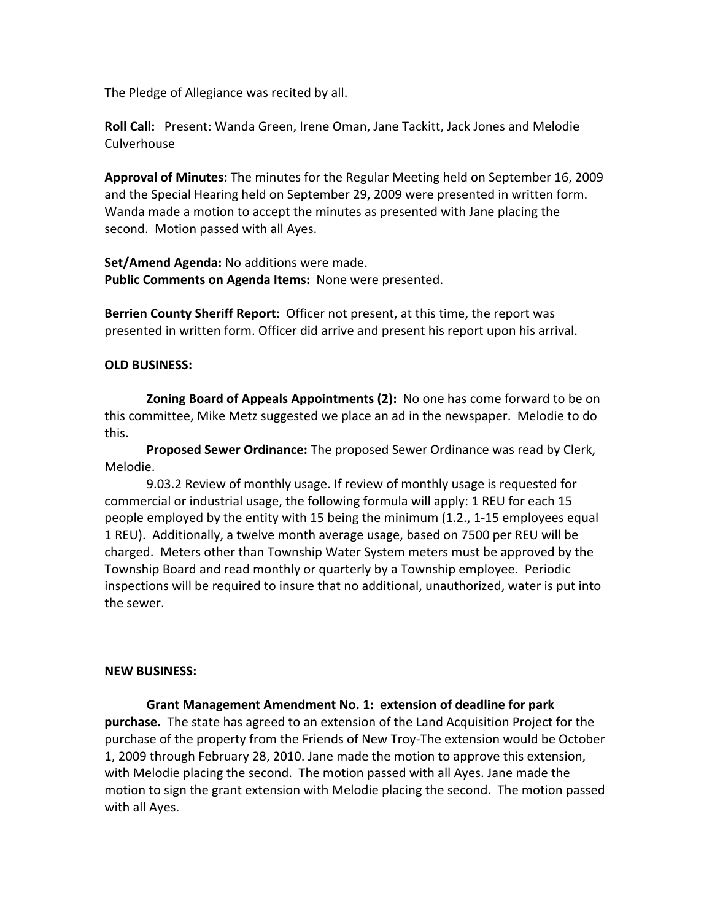The Pledge of Allegiance was recited by all.

**Roll Call:** Present: Wanda Green, Irene Oman, Jane Tackitt, Jack Jones and Melodie Culverhouse

**Approval of Minutes:** The minutes for the Regular Meeting held on September 16, 2009 and the Special Hearing held on September 29, 2009 were presented in written form. Wanda made a motion to accept the minutes as presented with Jane placing the second. Motion passed with all Ayes.

**Set/Amend Agenda:** No additions were made. Public Comments on Agenda Items: None were presented.

**Berrien County Sheriff Report:** Officer not present, at this time, the report was presented in written form. Officer did arrive and present his report upon his arrival.

#### **OLD BUSINESS:**

**Zoning Board of Appeals Appointments (2):** No one has come forward to be on this committee, Mike Metz suggested we place an ad in the newspaper. Melodie to do this.

**Proposed Sewer Ordinance:** The proposed Sewer Ordinance was read by Clerk, Melodie.

9.03.2 Review of monthly usage. If review of monthly usage is requested for commercial or industrial usage, the following formula will apply: 1 REU for each 15 people employed by the entity with 15 being the minimum (1.2., 1-15 employees equal 1 REU). Additionally, a twelve month average usage, based on 7500 per REU will be charged. Meters other than Township Water System meters must be approved by the Township Board and read monthly or quarterly by a Township employee. Periodic inspections will be required to insure that no additional, unauthorized, water is put into the sewer.

#### **NEW BUSINESS:**

Grant Management Amendment No. 1: extension of deadline for park **purchase.** The state has agreed to an extension of the Land Acquisition Project for the purchase of the property from the Friends of New Troy-The extension would be October 1, 2009 through February 28, 2010. Jane made the motion to approve this extension, with Melodie placing the second. The motion passed with all Ayes. Jane made the motion to sign the grant extension with Melodie placing the second. The motion passed with all Ayes.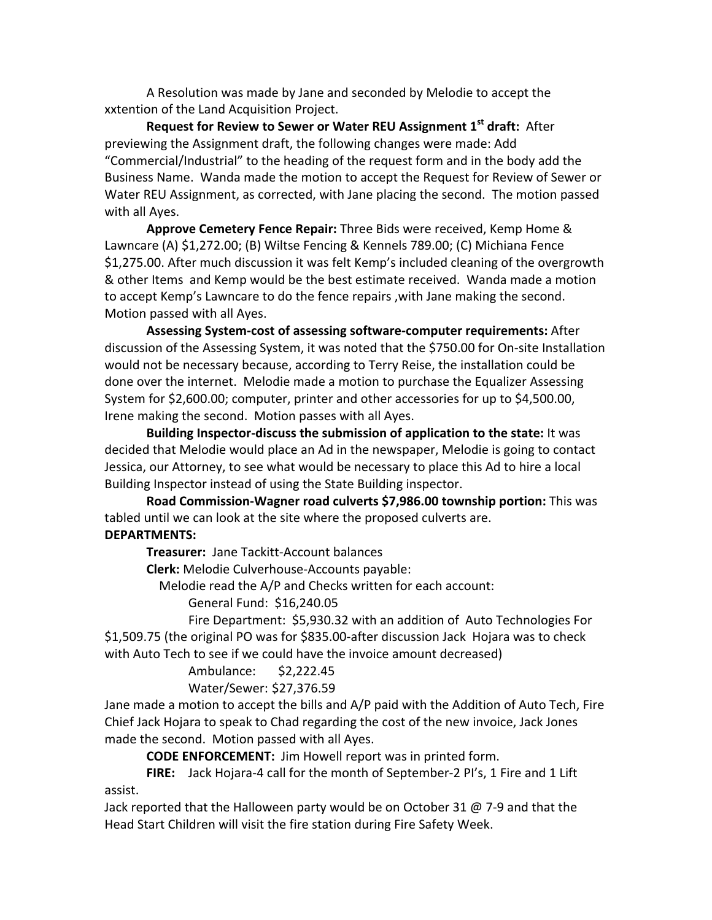A Resolution was made by Jane and seconded by Melodie to accept the xxtention of the Land Acquisition Project.

**Request for Review to Sewer or Water REU Assignment 1st draft: After** previewing the Assignment draft, the following changes were made: Add "Commercial/Industrial" to the heading of the request form and in the body add the Business Name. Wanda made the motion to accept the Request for Review of Sewer or Water REU Assignment, as corrected, with Jane placing the second. The motion passed with all Ayes.

Approve Cemetery Fence Repair: Three Bids were received, Kemp Home & Lawncare (A) \$1,272.00; (B) Wiltse Fencing & Kennels 789.00; (C) Michiana Fence \$1,275.00. After much discussion it was felt Kemp's included cleaning of the overgrowth & other Items and Kemp would be the best estimate received. Wanda made a motion to accept Kemp's Lawncare to do the fence repairs, with Jane making the second. Motion passed with all Ayes.

Assessing System-cost of assessing software-computer requirements: After discussion of the Assessing System, it was noted that the \$750.00 for On-site Installation would not be necessary because, according to Terry Reise, the installation could be done over the internet. Melodie made a motion to purchase the Equalizer Assessing System for \$2,600.00; computer, printer and other accessories for up to \$4,500.00, Irene making the second. Motion passes with all Ayes.

**Building Inspector-discuss the submission of application to the state:** It was decided that Melodie would place an Ad in the newspaper, Melodie is going to contact Jessica, our Attorney, to see what would be necessary to place this Ad to hire a local Building Inspector instead of using the State Building inspector.

Road Commission-Wagner road culverts \$7,986.00 township portion: This was tabled until we can look at the site where the proposed culverts are. **DEPARTMENTS:**

**Treasurer:** Jane Tackitt-Account balances

**Clerk:** Melodie Culverhouse-Accounts payable:

Melodie read the A/P and Checks written for each account:

General Fund: \$16,240.05

Fire Department: \$5,930.32 with an addition of Auto Technologies For \$1,509.75 (the original PO was for \$835.00-after discussion Jack Hojara was to check with Auto Tech to see if we could have the invoice amount decreased)

Ambulance: \$2,222.45

Water/Sewer: \$27,376.59

Jane made a motion to accept the bills and A/P paid with the Addition of Auto Tech, Fire Chief Jack Hojara to speak to Chad regarding the cost of the new invoice, Jack Jones made the second. Motion passed with all Ayes.

**CODE ENFORCEMENT:** Jim Howell report was in printed form.

FIRE: Jack Hojara-4 call for the month of September-2 PI's, 1 Fire and 1 Lift assist.

Jack reported that the Halloween party would be on October 31  $@$  7-9 and that the Head Start Children will visit the fire station during Fire Safety Week.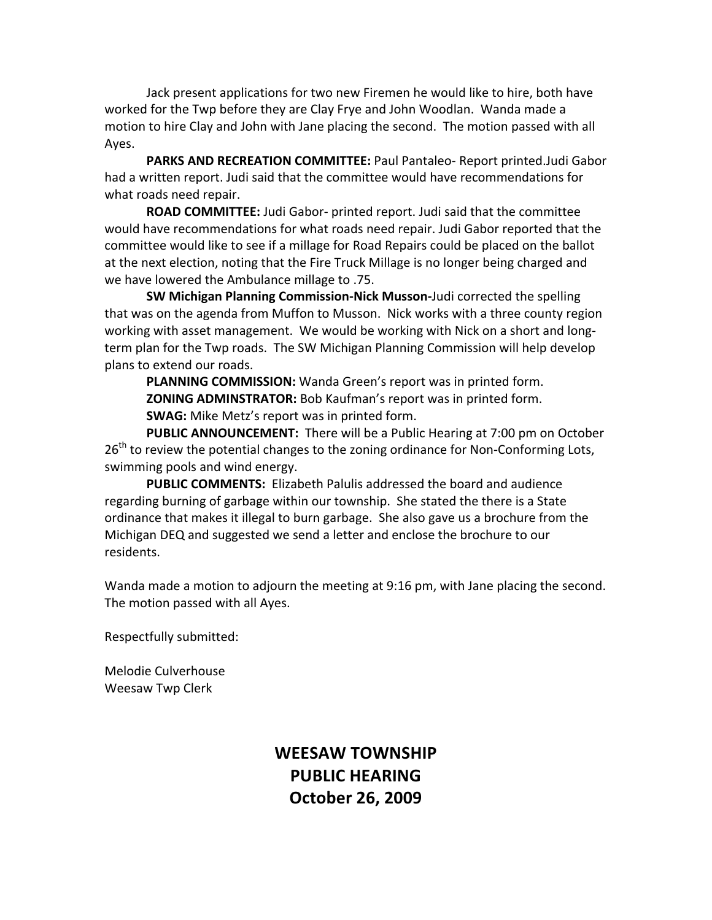Jack present applications for two new Firemen he would like to hire, both have worked for the Twp before they are Clay Frye and John Woodlan. Wanda made a motion to hire Clay and John with Jane placing the second. The motion passed with all Ayes.

**PARKS AND RECREATION COMMITTEE: Paul Pantaleo- Report printed.Judi Gabor** had a written report. Judi said that the committee would have recommendations for what roads need repair.

**ROAD COMMITTEE:** Judi Gabor- printed report. Judi said that the committee would have recommendations for what roads need repair. Judi Gabor reported that the committee would like to see if a millage for Road Repairs could be placed on the ballot at the next election, noting that the Fire Truck Millage is no longer being charged and we have lowered the Ambulance millage to .75.

**SW Michigan Planning Commission-Nick Musson-Judi corrected the spelling** that was on the agenda from Muffon to Musson. Nick works with a three county region working with asset management. We would be working with Nick on a short and longterm plan for the Twp roads. The SW Michigan Planning Commission will help develop plans to extend our roads.

**PLANNING COMMISSION:** Wanda Green's report was in printed form. **ZONING ADMINSTRATOR:** Bob Kaufman's report was in printed form. **SWAG:** Mike Metz's report was in printed form.

**PUBLIC ANNOUNCEMENT:** There will be a Public Hearing at 7:00 pm on October  $26<sup>th</sup>$  to review the potential changes to the zoning ordinance for Non-Conforming Lots, swimming pools and wind energy.

**PUBLIC COMMENTS:** Elizabeth Palulis addressed the board and audience regarding burning of garbage within our township. She stated the there is a State ordinance that makes it illegal to burn garbage. She also gave us a brochure from the Michigan DEQ and suggested we send a letter and enclose the brochure to our residents.

Wanda made a motion to adjourn the meeting at 9:16 pm, with Jane placing the second. The motion passed with all Ayes.

Respectfully submitted:

Melodie Culverhouse Weesaw Twp Clerk

# **WEESAW TOWNSHIP PUBLIC HEARING October 26, 2009**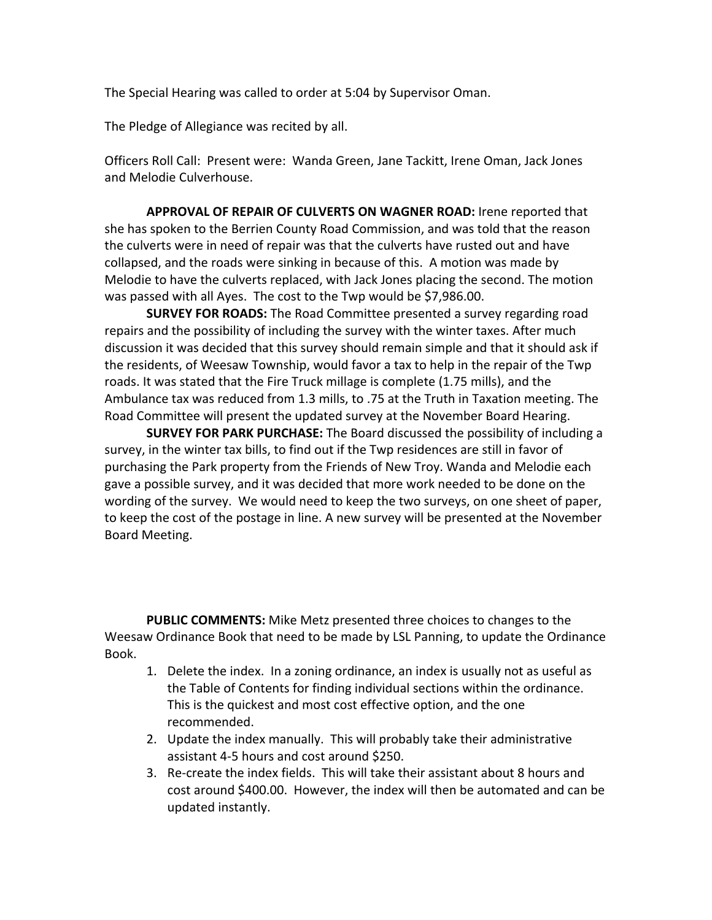The Special Hearing was called to order at 5:04 by Supervisor Oman.

The Pledge of Allegiance was recited by all.

Officers Roll Call: Present were: Wanda Green, Jane Tackitt, Irene Oman, Jack Jones and Melodie Culverhouse.

**APPROVAL OF REPAIR OF CULVERTS ON WAGNER ROAD:** Irene reported that she has spoken to the Berrien County Road Commission, and was told that the reason the culverts were in need of repair was that the culverts have rusted out and have collapsed, and the roads were sinking in because of this. A motion was made by Melodie to have the culverts replaced, with Jack Jones placing the second. The motion was passed with all Ayes. The cost to the Twp would be \$7,986.00.

**SURVEY FOR ROADS:** The Road Committee presented a survey regarding road repairs and the possibility of including the survey with the winter taxes. After much discussion it was decided that this survey should remain simple and that it should ask if the residents, of Weesaw Township, would favor a tax to help in the repair of the Twp roads. It was stated that the Fire Truck millage is complete (1.75 mills), and the Ambulance tax was reduced from 1.3 mills, to .75 at the Truth in Taxation meeting. The Road Committee will present the updated survey at the November Board Hearing.

**SURVEY FOR PARK PURCHASE:** The Board discussed the possibility of including a survey, in the winter tax bills, to find out if the Twp residences are still in favor of purchasing the Park property from the Friends of New Troy. Wanda and Melodie each gave a possible survey, and it was decided that more work needed to be done on the wording of the survey. We would need to keep the two surveys, on one sheet of paper, to keep the cost of the postage in line. A new survey will be presented at the November Board Meeting.

**PUBLIC COMMENTS:** Mike Metz presented three choices to changes to the Weesaw Ordinance Book that need to be made by LSL Panning, to update the Ordinance Book. 

- 1. Delete the index. In a zoning ordinance, an index is usually not as useful as the Table of Contents for finding individual sections within the ordinance. This is the quickest and most cost effective option, and the one recommended.
- 2. Update the index manually. This will probably take their administrative assistant 4-5 hours and cost around \$250.
- 3. Re-create the index fields. This will take their assistant about 8 hours and cost around \$400.00. However, the index will then be automated and can be updated instantly.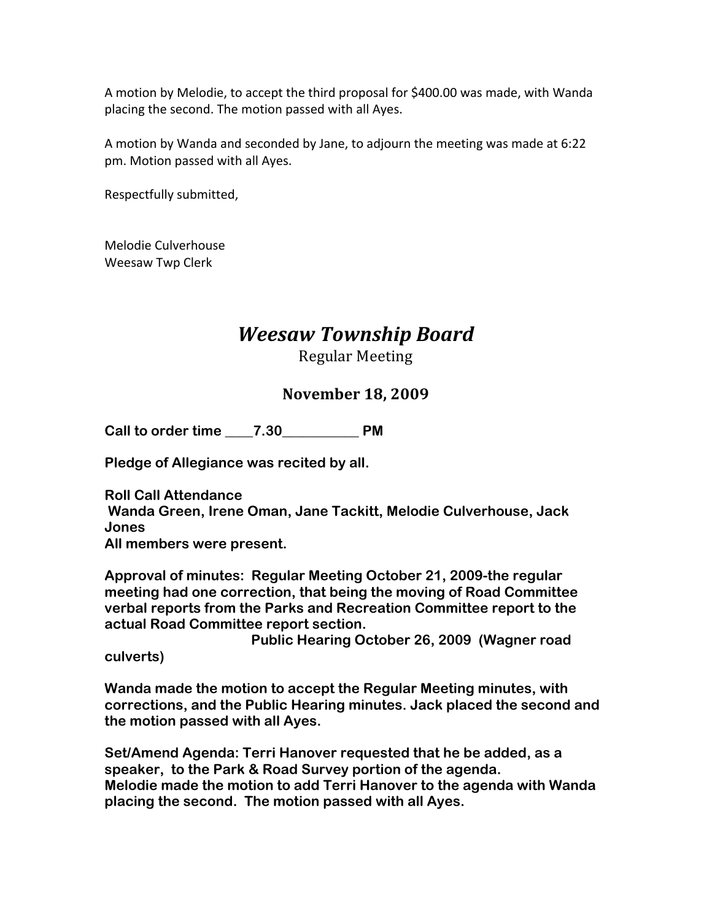A motion by Melodie, to accept the third proposal for \$400.00 was made, with Wanda placing the second. The motion passed with all Ayes.

A motion by Wanda and seconded by Jane, to adjourn the meeting was made at 6:22 pm. Motion passed with all Ayes.

Respectfully submitted,

Melodie Culverhouse Weesaw Twp Clerk

# *Weesaw Township Board*

Regular Meeting

## **November 18, 2009**

**Call to order time \_\_\_\_7.30\_\_\_\_\_\_\_\_\_\_\_ PM**

**Pledge of Allegiance was recited by all.**

**Roll Call Attendance Wanda Green, Irene Oman, Jane Tackitt, Melodie Culverhouse, Jack Jones All members were present.**

**Approval of minutes: Regular Meeting October 21, 2009-the regular meeting had one correction, that being the moving of Road Committee verbal reports from the Parks and Recreation Committee report to the actual Road Committee report section.** 

 **Public Hearing October 26, 2009 (Wagner road** 

**culverts)** 

**Wanda made the motion to accept the Regular Meeting minutes, with corrections, and the Public Hearing minutes. Jack placed the second and the motion passed with all Ayes.** 

**Set/Amend Agenda: Terri Hanover requested that he be added, as a speaker, to the Park & Road Survey portion of the agenda. Melodie made the motion to add Terri Hanover to the agenda with Wanda placing the second. The motion passed with all Ayes.**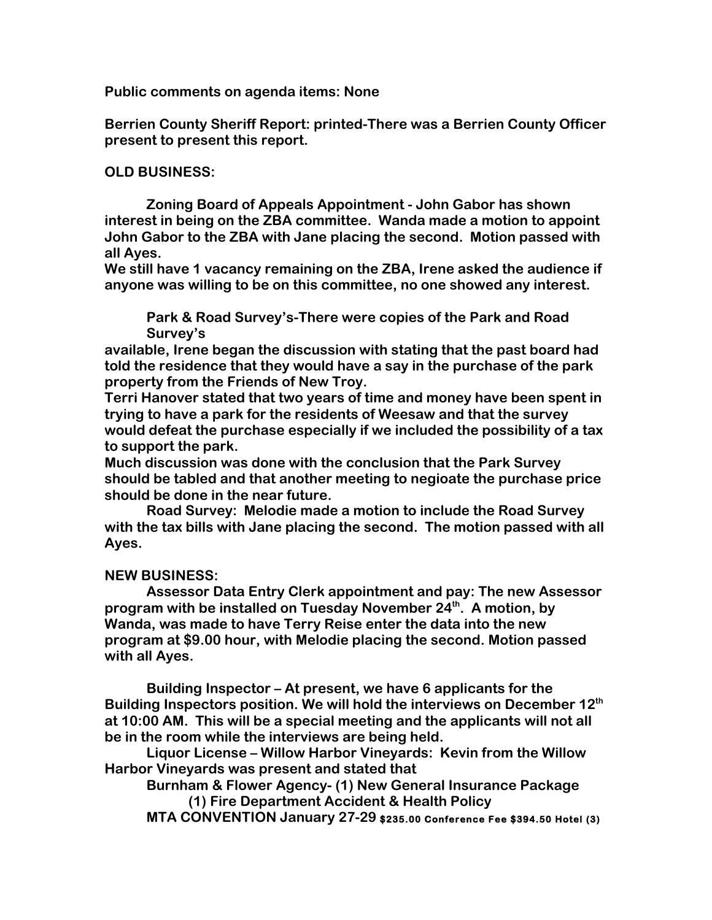**Public comments on agenda items: None**

**Berrien County Sheriff Report: printed-There was a Berrien County Officer present to present this report.**

#### **OLD BUSINESS:**

**Zoning Board of Appeals Appointment - John Gabor has shown interest in being on the ZBA committee. Wanda made a motion to appoint John Gabor to the ZBA with Jane placing the second. Motion passed with all Ayes.**

**We still have 1 vacancy remaining on the ZBA, Irene asked the audience if anyone was willing to be on this committee, no one showed any interest.** 

**Park & Road Survey's-There were copies of the Park and Road Survey's** 

**available, Irene began the discussion with stating that the past board had told the residence that they would have a say in the purchase of the park property from the Friends of New Troy.**

**Terri Hanover stated that two years of time and money have been spent in trying to have a park for the residents of Weesaw and that the survey would defeat the purchase especially if we included the possibility of a tax to support the park.**

**Much discussion was done with the conclusion that the Park Survey should be tabled and that another meeting to negioate the purchase price should be done in the near future.** 

**Road Survey: Melodie made a motion to include the Road Survey with the tax bills with Jane placing the second. The motion passed with all Ayes.**

#### **NEW BUSINESS:**

**Assessor Data Entry Clerk appointment and pay: The new Assessor program with be installed on Tuesday November 24th. A motion, by Wanda, was made to have Terry Reise enter the data into the new program at \$9.00 hour, with Melodie placing the second. Motion passed with all Ayes.**

**Building Inspector – At present, we have 6 applicants for the Building Inspectors position. We will hold the interviews on December 12th at 10:00 AM. This will be a special meeting and the applicants will not all be in the room while the interviews are being held.**

**Liquor License – Willow Harbor Vineyards: Kevin from the Willow Harbor Vineyards was present and stated that** 

**Burnham & Flower Agency- (1) New General Insurance Package (1) Fire Department Accident & Health Policy**

 **MTA CONVENTION January 27-29 \$235.00 Conference Fee \$394.50 Hotel (3)**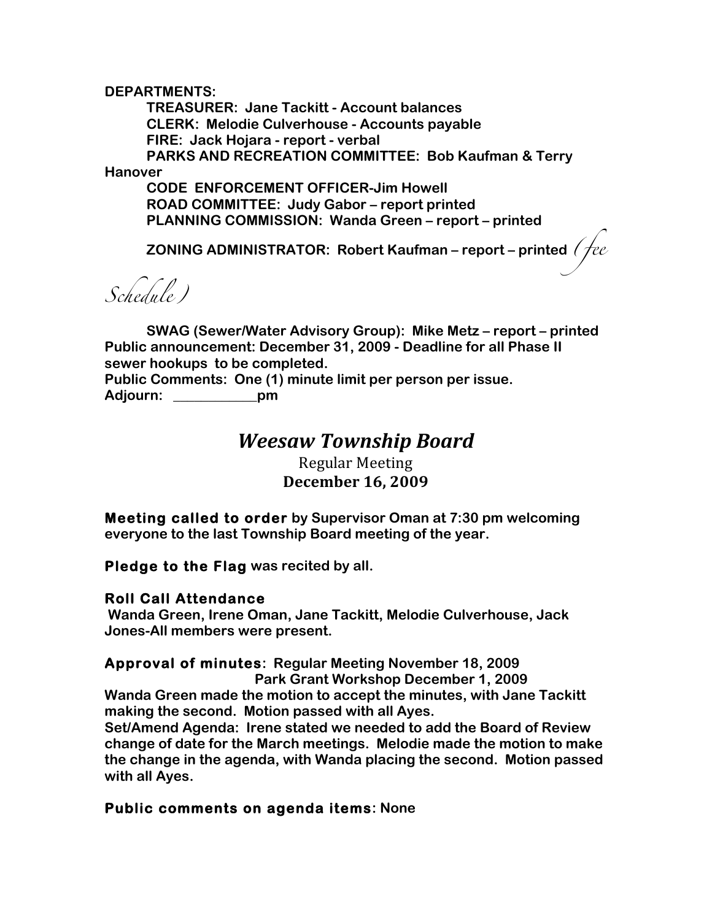**DEPARTMENTS:**

**TREASURER: Jane Tackitt - Account balances CLERK: Melodie Culverhouse - Accounts payable FIRE: Jack Hojara - report - verbal PARKS AND RECREATION COMMITTEE: Bob Kaufman & Terry Hanover** 

**CODE ENFORCEMENT OFFICER-Jim Howell ROAD COMMITTEE: Judy Gabor – report printed PLANNING COMMISSION: Wanda Green – report – printed**

**ZONING ADMINISTRATOR: Robert Kaufman – report – printed** *(fee* 

*Schedule)*

**SWAG (Sewer/Water Advisory Group): Mike Metz – report – printed Public announcement: December 31, 2009 - Deadline for all Phase II sewer hookups to be completed.**

**Public Comments: One (1) minute limit per person per issue. Adjourn: \_\_\_\_\_\_\_\_\_\_\_\_pm**

# *Weesaw Township Board*

Regular Meeting **December 16, 2009**

**Meeting called to order by Supervisor Oman at 7:30 pm welcoming everyone to the last Township Board meeting of the year.**

**Pledge to the Flag was recited by all.**

#### **Roll Call Attendance**

 **Wanda Green, Irene Oman, Jane Tackitt, Melodie Culverhouse, Jack Jones-All members were present.**

## **Approval of minutes: Regular Meeting November 18, 2009**

 **Park Grant Workshop December 1, 2009**

**Wanda Green made the motion to accept the minutes, with Jane Tackitt making the second. Motion passed with all Ayes.**

**Set/Amend Agenda: Irene stated we needed to add the Board of Review change of date for the March meetings. Melodie made the motion to make the change in the agenda, with Wanda placing the second. Motion passed with all Ayes.**

## **Public comments on agenda items: None**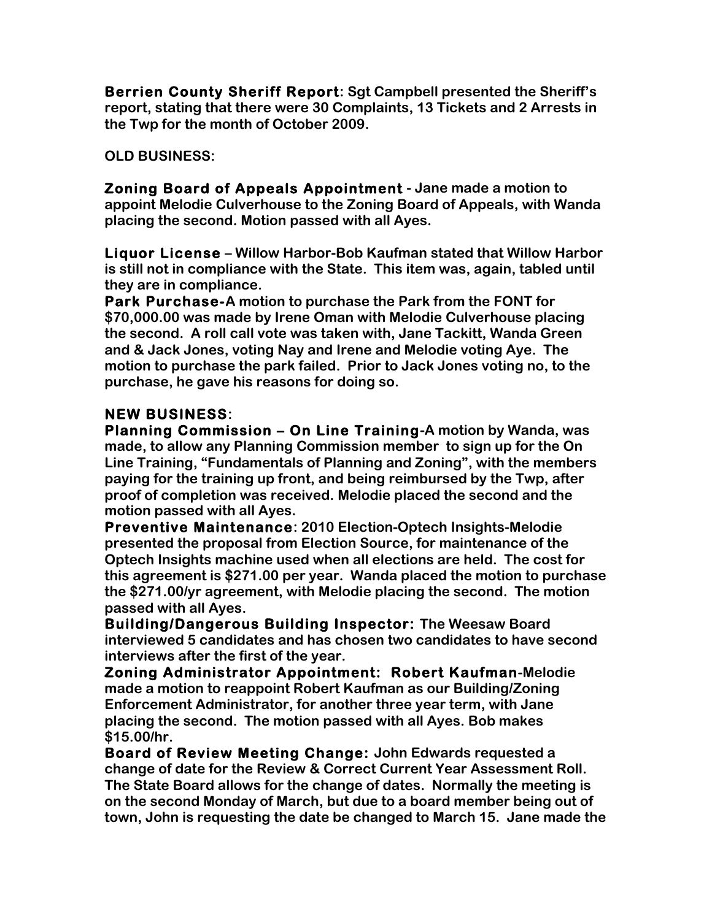**Berrien County Sheriff Report: Sgt Campbell presented the Sheriff's report, stating that there were 30 Complaints, 13 Tickets and 2 Arrests in the Twp for the month of October 2009.**

**OLD BUSINESS:**

**Zoning Board of Appeals Appointment - Jane made a motion to appoint Melodie Culverhouse to the Zoning Board of Appeals, with Wanda placing the second. Motion passed with all Ayes.**

**Liquor License – Willow Harbor-Bob Kaufman stated that Willow Harbor is still not in compliance with the State. This item was, again, tabled until they are in compliance.**

**Park Purchase-A motion to purchase the Park from the FONT for \$70,000.00 was made by Irene Oman with Melodie Culverhouse placing the second. A roll call vote was taken with, Jane Tackitt, Wanda Green and & Jack Jones, voting Nay and Irene and Melodie voting Aye. The motion to purchase the park failed. Prior to Jack Jones voting no, to the purchase, he gave his reasons for doing so.**

## **NEW BUSINESS:**

**Planning Commission – On Line Training-A motion by Wanda, was made, to allow any Planning Commission member to sign up for the On Line Training, "Fundamentals of Planning and Zoning", with the members paying for the training up front, and being reimbursed by the Twp, after proof of completion was received. Melodie placed the second and the motion passed with all Ayes.**

**Preventive Maintenance: 2010 Election-Optech Insights-Melodie presented the proposal from Election Source, for maintenance of the Optech Insights machine used when all elections are held. The cost for this agreement is \$271.00 per year. Wanda placed the motion to purchase the \$271.00/yr agreement, with Melodie placing the second. The motion passed with all Ayes.**

**Building/Dangerous Building Inspector: The Weesaw Board interviewed 5 candidates and has chosen two candidates to have second interviews after the first of the year.**

**Zoning Administrator Appointment: Robert Kaufman-Melodie made a motion to reappoint Robert Kaufman as our Building/Zoning Enforcement Administrator, for another three year term, with Jane placing the second. The motion passed with all Ayes. Bob makes \$15.00/hr.**

**Board of Review Meeting Change: John Edwards requested a change of date for the Review & Correct Current Year Assessment Roll. The State Board allows for the change of dates. Normally the meeting is on the second Monday of March, but due to a board member being out of town, John is requesting the date be changed to March 15. Jane made the**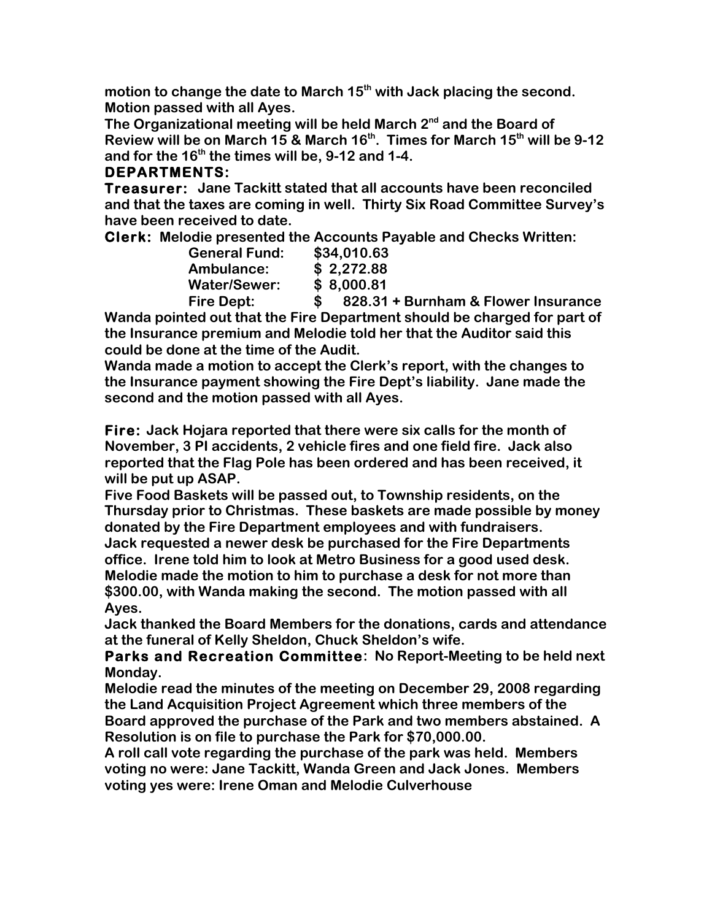motion to change the date to March 15<sup>th</sup> with Jack placing the second. **Motion passed with all Ayes.** 

The Organizational meeting will be held March 2<sup>nd</sup> and the Board of **Review will be on March 15 & March 16th. Times for March 15th will be 9-12 and for the 16th the times will be, 9-12 and 1-4.**

## **DEPARTMENTS:**

**Treasurer: Jane Tackitt stated that all accounts have been reconciled and that the taxes are coming in well. Thirty Six Road Committee Survey's have been received to date.**

**Clerk: Melodie presented the Accounts Payable and Checks Written:**

| <b>General Fund:</b> | \$34,010.63    |
|----------------------|----------------|
| Ambulance:           | \$2,272.88     |
| <b>Water/Sewer:</b>  | \$8,000.81     |
| <b>Fire Dept:</b>    | 828.31 +<br>S. |

**Burnham & Flower Insurance Wanda pointed out that the Fire Department should be charged for part of the Insurance premium and Melodie told her that the Auditor said this could be done at the time of the Audit.**

**Wanda made a motion to accept the Clerk's report, with the changes to the Insurance payment showing the Fire Dept's liability. Jane made the second and the motion passed with all Ayes.**

**Fire: Jack Hojara reported that there were six calls for the month of November, 3 PI accidents, 2 vehicle fires and one field fire. Jack also reported that the Flag Pole has been ordered and has been received, it will be put up ASAP.** 

**Five Food Baskets will be passed out, to Township residents, on the Thursday prior to Christmas. These baskets are made possible by money donated by the Fire Department employees and with fundraisers.**

**Jack requested a newer desk be purchased for the Fire Departments office. Irene told him to look at Metro Business for a good used desk. Melodie made the motion to him to purchase a desk for not more than \$300.00, with Wanda making the second. The motion passed with all Ayes.**

**Jack thanked the Board Members for the donations, cards and attendance at the funeral of Kelly Sheldon, Chuck Sheldon's wife.**

**Parks and Recreation Committee: No Report-Meeting to be held next Monday.**

**Melodie read the minutes of the meeting on December 29, 2008 regarding the Land Acquisition Project Agreement which three members of the** 

**Board approved the purchase of the Park and two members abstained. A Resolution is on file to purchase the Park for \$70,000.00.** 

**A roll call vote regarding the purchase of the park was held. Members voting no were: Jane Tackitt, Wanda Green and Jack Jones. Members voting yes were: Irene Oman and Melodie Culverhouse**